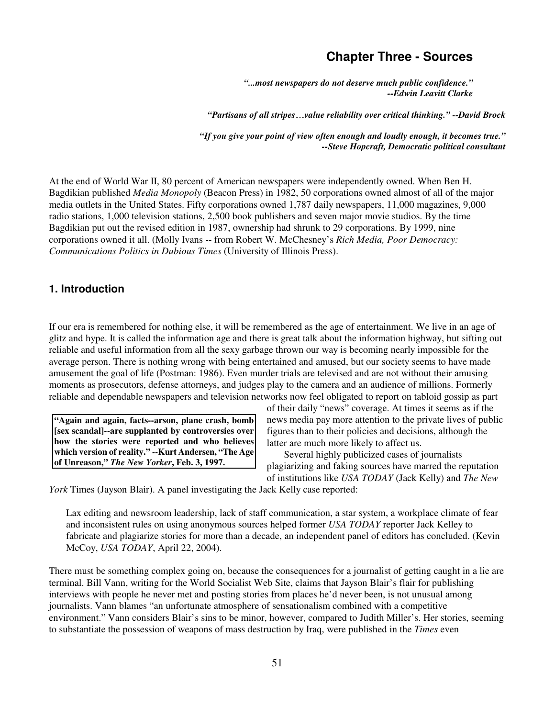# **Chapter Three - Sources**

*"...most newspapers do not deserve much public confidence." --Edwin Leavitt Clarke*

*"Partisans of all stripes*…*value reliability over critical thinking." --David Brock*

*"If you give your point of view often enough and loudly enough, it becomes true." --Steve Hopcraft, Democratic political consultant*

At the end of World War II, 80 percent of American newspapers were independently owned. When Ben H. Bagdikian published *Media Monopoly* (Beacon Press) in 1982, 50 corporations owned almost of all of the major media outlets in the United States. Fifty corporations owned 1,787 daily newspapers, 11,000 magazines, 9,000 radio stations, 1,000 television stations, 2,500 book publishers and seven major movie studios. By the time Bagdikian put out the revised edition in 1987, ownership had shrunk to 29 corporations. By 1999, nine corporations owned it all. (Molly Ivans -- from Robert W. McChesney's *Rich Media, Poor Democracy: Communications Politics in Dubious Times* (University of Illinois Press).

### **1. Introduction**

If our era is remembered for nothing else, it will be remembered as the age of entertainment. We live in an age of glitz and hype. It is called the information age and there is great talk about the information highway, but sifting out reliable and useful information from all the sexy garbage thrown our way is becoming nearly impossible for the average person. There is nothing wrong with being entertained and amused, but our society seems to have made amusement the goal of life (Postman: 1986). Even murder trials are televised and are not without their amusing moments as prosecutors, defense attorneys, and judges play to the camera and an audience of millions. Formerly reliable and dependable newspapers and television networks now feel obligated to report on tabloid gossip as part

**"Again and again, facts--arson, plane crash, bomb [sex scandal]--are supplanted by controversies over how the stories were reported and who believes which version of reality." --Kurt Andersen, "The Age of Unreason,"** *The New Yorker***, Feb. 3, 1997.**

of their daily "news" coverage. At times it seems as if the news media pay more attention to the private lives of public figures than to their policies and decisions, although the latter are much more likely to affect us.

Several highly publicized cases of journalists plagiarizing and faking sources have marred the reputation of institutions like *USA TODAY* (Jack Kelly) and *The New*

*York* Times (Jayson Blair). A panel investigating the Jack Kelly case reported:

Lax editing and newsroom leadership, lack of staff communication, a star system, a workplace climate of fear and inconsistent rules on using anonymous sources helped former *USA TODAY* reporter Jack Kelley to fabricate and plagiarize stories for more than a decade, an independent panel of editors has concluded. (Kevin McCoy, *USA TODAY*, April 22, 2004).

There must be something complex going on, because the consequences for a journalist of getting caught in a lie are terminal. Bill Vann, writing for the World Socialist Web Site, claims that Jayson Blair's flair for publishing interviews with people he never met and posting stories from places he'd never been, is not unusual among journalists. Vann blames "an unfortunate atmosphere of sensationalism combined with a competitive environment." Vann considers Blair's sins to be minor, however, compared to Judith Miller's. Her stories, seeming to substantiate the possession of weapons of mass destruction by Iraq, were published in the *Times* even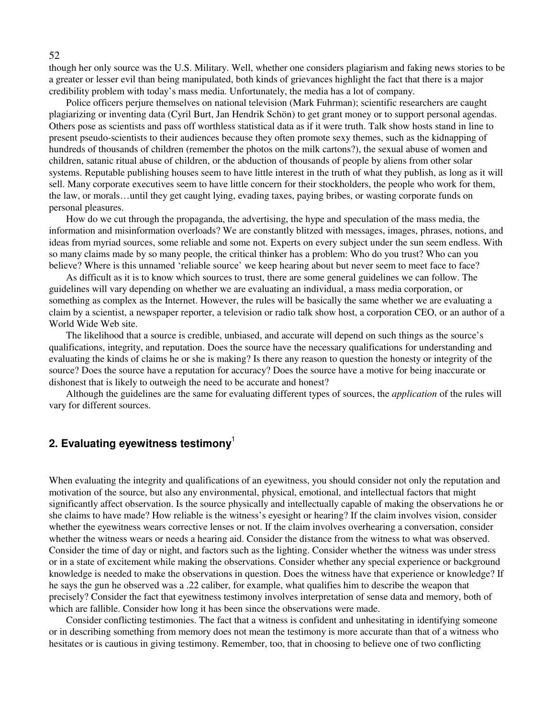though her only source was the U.S. Military. Well, whether one considers plagiarism and faking news stories to be a greater or lesser evil than being manipulated, both kinds of grievances highlight the fact that there is a major credibility problem with today's mass media. Unfortunately, the media has a lot of company.

Police officers perjure themselves on national television (Mark Fuhrman); scientific researchers are caught plagiarizing or inventing data (Cyril Burt, Jan Hendrik Schön) to get grant money or to support personal agendas. Others pose as scientists and pass off worthless statistical data as if it were truth. Talk show hosts stand in line to present pseudo-scientists to their audiences because they often promote sexy themes, such as the kidnapping of hundreds of thousands of children (remember the photos on the milk cartons?), the sexual abuse of women and children, satanic ritual abuse of children, or the abduction of thousands of people by aliens from other solar systems. Reputable publishing houses seem to have little interest in the truth of what they publish, as long as it will sell. Many corporate executives seem to have little concern for their stockholders, the people who work for them, the law, or morals…until they get caught lying, evading taxes, paying bribes, or wasting corporate funds on personal pleasures.

How do we cut through the propaganda, the advertising, the hype and speculation of the mass media, the information and misinformation overloads? We are constantly blitzed with messages, images, phrases, notions, and ideas from myriad sources, some reliable and some not. Experts on every subject under the sun seem endless. With so many claims made by so many people, the critical thinker has a problem: Who do you trust? Who can you believe? Where is this unnamed 'reliable source' we keep hearing about but never seem to meet face to face?

As difficult as it is to know which sources to trust, there are some general guidelines we can follow. The guidelines will vary depending on whether we are evaluating an individual, a mass media corporation, or something as complex as the Internet. However, the rules will be basically the same whether we are evaluating a claim by a scientist, a newspaper reporter, a television or radio talk show host, a corporation CEO, or an author of a World Wide Web site.

The likelihood that a source is credible, unbiased, and accurate will depend on such things as the source's qualifications, integrity, and reputation. Does the source have the necessary qualifications for understanding and evaluating the kinds of claims he or she is making? Is there any reason to question the honesty or integrity of the source? Does the source have a reputation for accuracy? Does the source have a motive for being inaccurate or dishonest that is likely to outweigh the need to be accurate and honest?

Although the guidelines are the same for evaluating different types of sources, the *application* of the rules will vary for different sources.

# **2. Evaluating eyewitness testimony** 1

When evaluating the integrity and qualifications of an eyewitness, you should consider not only the reputation and motivation of the source, but also any environmental, physical, emotional, and intellectual factors that might significantly affect observation. Is the source physically and intellectually capable of making the observations he or she claims to have made? How reliable is the witness's eyesight or hearing? If the claim involves vision, consider whether the eyewitness wears corrective lenses or not. If the claim involves overhearing a conversation, consider whether the witness wears or needs a hearing aid. Consider the distance from the witness to what was observed. Consider the time of day or night, and factors such as the lighting. Consider whether the witness was under stress or in a state of excitement while making the observations. Consider whether any special experience or background knowledge is needed to make the observations in question. Does the witness have that experience or knowledge? If he says the gun he observed was a .22 caliber, for example, what qualifies him to describe the weapon that precisely? Consider the fact that eyewitness testimony involves interpretation of sense data and memory, both of which are fallible. Consider how long it has been since the observations were made.

Consider conflicting testimonies. The fact that a witness is confident and unhesitating in identifying someone or in describing something from memory does not mean the testimony is more accurate than that of a witness who hesitates or is cautious in giving testimony. Remember, too, that in choosing to believe one of two conflicting

#### 52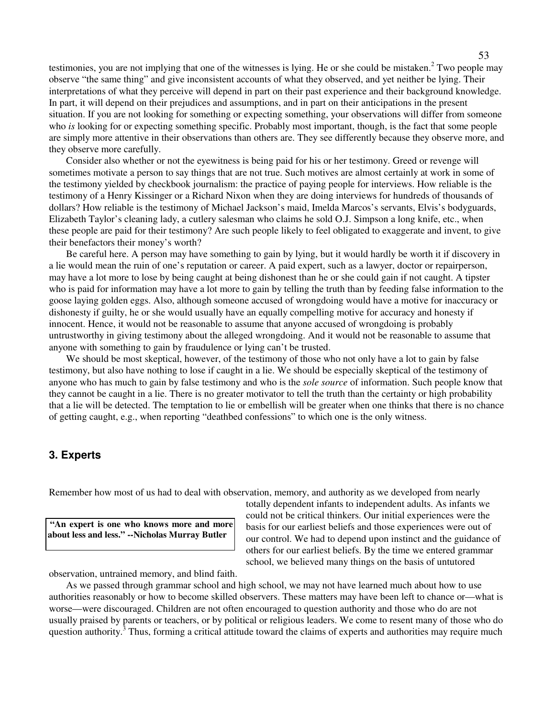testimonies, you are not implying that one of the witnesses is lying. He or she could be mistaken.<sup>2</sup> Two people may observe "the same thing" and give inconsistent accounts of what they observed, and yet neither be lying. Their interpretations of what they perceive will depend in part on their past experience and their background knowledge. In part, it will depend on their prejudices and assumptions, and in part on their anticipations in the present situation. If you are not looking for something or expecting something, your observations will differ from someone who *is* looking for or expecting something specific. Probably most important, though, is the fact that some people are simply more attentive in their observations than others are. They see differently because they observe more, and they observe more carefully.

Consider also whether or not the eyewitness is being paid for his or her testimony. Greed or revenge will sometimes motivate a person to say things that are not true. Such motives are almost certainly at work in some of the testimony yielded by checkbook journalism: the practice of paying people for interviews. How reliable is the testimony of a Henry Kissinger or a Richard Nixon when they are doing interviews for hundreds of thousands of dollars? How reliable is the testimony of Michael Jackson's maid, Imelda Marcos's servants, Elvis's bodyguards, Elizabeth Taylor's cleaning lady, a cutlery salesman who claims he sold O.J. Simpson a long knife, etc., when these people are paid for their testimony? Are such people likely to feel obligated to exaggerate and invent, to give their benefactors their money's worth?

Be careful here. A person may have something to gain by lying, but it would hardly be worth it if discovery in a lie would mean the ruin of one's reputation or career. A paid expert, such as a lawyer, doctor or repairperson, may have a lot more to lose by being caught at being dishonest than he or she could gain if not caught. A tipster who is paid for information may have a lot more to gain by telling the truth than by feeding false information to the goose laying golden eggs. Also, although someone accused of wrongdoing would have a motive for inaccuracy or dishonesty if guilty, he or she would usually have an equally compelling motive for accuracy and honesty if innocent. Hence, it would not be reasonable to assume that anyone accused of wrongdoing is probably untrustworthy in giving testimony about the alleged wrongdoing. And it would not be reasonable to assume that anyone with something to gain by fraudulence or lying can't be trusted.

We should be most skeptical, however, of the testimony of those who not only have a lot to gain by false testimony, but also have nothing to lose if caught in a lie. We should be especially skeptical of the testimony of anyone who has much to gain by false testimony and who is the *sole source* of information. Such people know that they cannot be caught in a lie. There is no greater motivator to tell the truth than the certainty or high probability that a lie will be detected. The temptation to lie or embellish will be greater when one thinks that there is no chance of getting caught, e.g., when reporting "deathbed confessions" to which one is the only witness.

#### **3. Experts**

Remember how most of us had to deal with observation, memory, and authority as we developed from nearly

**"An expert is one who knows more and more about less and less." --Nicholas Murray Butler**

totally dependent infants to independent adults. As infants we could not be critical thinkers. Our initial experiences were the basis for our earliest beliefs and those experiences were out of our control. We had to depend upon instinct and the guidance of others for our earliest beliefs. By the time we entered grammar school, we believed many things on the basis of untutored

observation, untrained memory, and blind faith.

As we passed through grammar school and high school, we may not have learned much about how to use authorities reasonably or how to become skilled observers. These matters may have been left to chance or—what is worse—were discouraged. Children are not often encouraged to question authority and those who do are not usually praised by parents or teachers, or by political or religious leaders. We come to resent many of those who do question authority.<sup>3</sup> Thus, forming a critical attitude toward the claims of experts and authorities may require much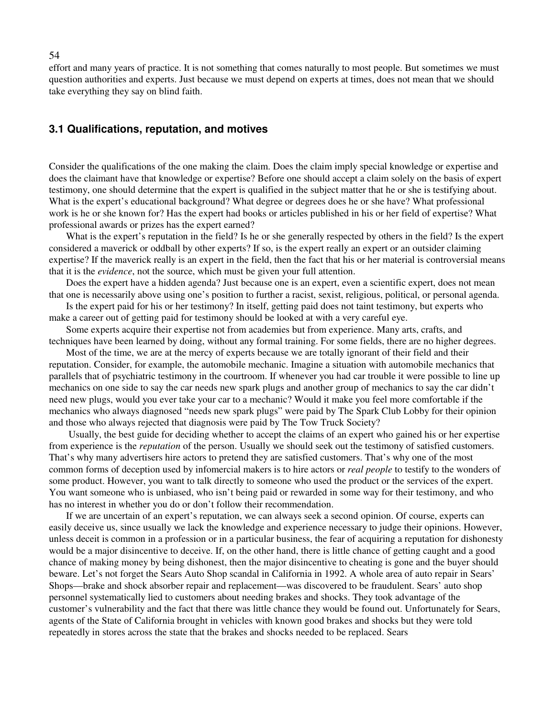effort and many years of practice. It is not something that comes naturally to most people. But sometimes we must question authorities and experts. Just because we must depend on experts at times, does not mean that we should take everything they say on blind faith.

### **3.1 Qualifications, reputation, and motives**

Consider the qualifications of the one making the claim. Does the claim imply special knowledge or expertise and does the claimant have that knowledge or expertise? Before one should accept a claim solely on the basis of expert testimony, one should determine that the expert is qualified in the subject matter that he or she is testifying about. What is the expert's educational background? What degree or degrees does he or she have? What professional work is he or she known for? Has the expert had books or articles published in his or her field of expertise? What professional awards or prizes has the expert earned?

What is the expert's reputation in the field? Is he or she generally respected by others in the field? Is the expert considered a maverick or oddball by other experts? If so, is the expert really an expert or an outsider claiming expertise? If the maverick really is an expert in the field, then the fact that his or her material is controversial means that it is the *evidence*, not the source, which must be given your full attention.

Does the expert have a hidden agenda? Just because one is an expert, even a scientific expert, does not mean that one is necessarily above using one's position to further a racist, sexist, religious, political, or personal agenda.

Is the expert paid for his or her testimony? In itself, getting paid does not taint testimony, but experts who make a career out of getting paid for testimony should be looked at with a very careful eye.

Some experts acquire their expertise not from academies but from experience. Many arts, crafts, and techniques have been learned by doing, without any formal training. For some fields, there are no higher degrees.

Most of the time, we are at the mercy of experts because we are totally ignorant of their field and their reputation. Consider, for example, the automobile mechanic. Imagine a situation with automobile mechanics that parallels that of psychiatric testimony in the courtroom. If whenever you had car trouble it were possible to line up mechanics on one side to say the car needs new spark plugs and another group of mechanics to say the car didn't need new plugs, would you ever take your car to a mechanic? Would it make you feel more comfortable if the mechanics who always diagnosed "needs new spark plugs" were paid by The Spark Club Lobby for their opinion and those who always rejected that diagnosis were paid by The Tow Truck Society?

Usually, the best guide for deciding whether to accept the claims of an expert who gained his or her expertise from experience is the *reputation* of the person. Usually we should seek out the testimony of satisfied customers. That's why many advertisers hire actors to pretend they are satisfied customers. That's why one of the most common forms of deception used by infomercial makers is to hire actors or *real people* to testify to the wonders of some product. However, you want to talk directly to someone who used the product or the services of the expert. You want someone who is unbiased, who isn't being paid or rewarded in some way for their testimony, and who has no interest in whether you do or don't follow their recommendation.

If we are uncertain of an expert's reputation, we can always seek a second opinion. Of course, experts can easily deceive us, since usually we lack the knowledge and experience necessary to judge their opinions. However, unless deceit is common in a profession or in a particular business, the fear of acquiring a reputation for dishonesty would be a major disincentive to deceive. If, on the other hand, there is little chance of getting caught and a good chance of making money by being dishonest, then the major disincentive to cheating is gone and the buyer should beware. Let's not forget the Sears Auto Shop scandal in California in 1992. A whole area of auto repair in Sears' Shops—brake and shock absorber repair and replacement—was discovered to be fraudulent. Sears' auto shop personnel systematically lied to customers about needing brakes and shocks. They took advantage of the customer's vulnerability and the fact that there was little chance they would be found out. Unfortunately for Sears, agents of the State of California brought in vehicles with known good brakes and shocks but they were told repeatedly in stores across the state that the brakes and shocks needed to be replaced. Sears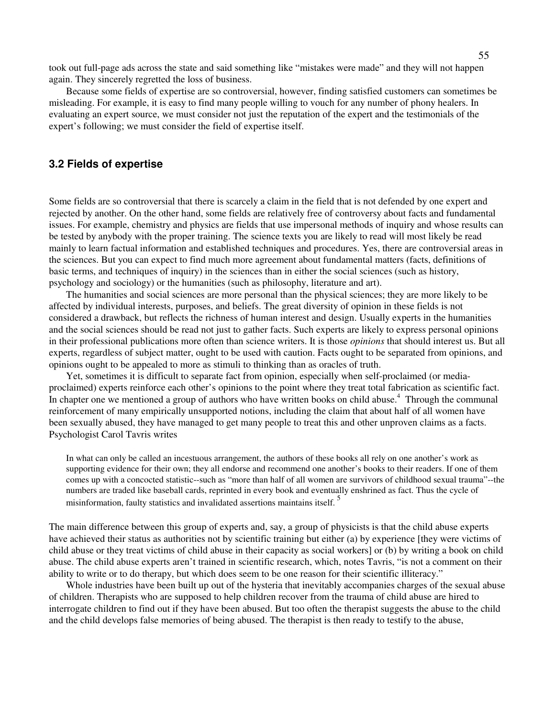took out full-page ads across the state and said something like "mistakes were made" and they will not happen again. They sincerely regretted the loss of business.

Because some fields of expertise are so controversial, however, finding satisfied customers can sometimes be misleading. For example, it is easy to find many people willing to vouch for any number of phony healers. In evaluating an expert source, we must consider not just the reputation of the expert and the testimonials of the expert's following; we must consider the field of expertise itself.

### **3.2 Fields of expertise**

Some fields are so controversial that there is scarcely a claim in the field that is not defended by one expert and rejected by another. On the other hand, some fields are relatively free of controversy about facts and fundamental issues. For example, chemistry and physics are fields that use impersonal methods of inquiry and whose results can be tested by anybody with the proper training. The science texts you are likely to read will most likely be read mainly to learn factual information and established techniques and procedures. Yes, there are controversial areas in the sciences. But you can expect to find much more agreement about fundamental matters (facts, definitions of basic terms, and techniques of inquiry) in the sciences than in either the social sciences (such as history, psychology and sociology) or the humanities (such as philosophy, literature and art).

The humanities and social sciences are more personal than the physical sciences; they are more likely to be affected by individual interests, purposes, and beliefs. The great diversity of opinion in these fields is not considered a drawback, but reflects the richness of human interest and design. Usually experts in the humanities and the social sciences should be read not just to gather facts. Such experts are likely to express personal opinions in their professional publications more often than science writers. It is those *opinions* that should interest us. But all experts, regardless of subject matter, ought to be used with caution. Facts ought to be separated from opinions, and opinions ought to be appealed to more as stimuli to thinking than as oracles of truth.

Yet, sometimes it is difficult to separate fact from opinion, especially when self-proclaimed (or mediaproclaimed) experts reinforce each other's opinions to the point where they treat total fabrication as scientific fact. In chapter one we mentioned a group of authors who have written books on child abuse.<sup>4</sup> Through the communal reinforcement of many empirically unsupported notions, including the claim that about half of all women have been sexually abused, they have managed to get many people to treat this and other unproven claims as a facts. Psychologist Carol Tavris writes

In what can only be called an incestuous arrangement, the authors of these books all rely on one another's work as supporting evidence for their own; they all endorse and recommend one another's books to their readers. If one of them comes up with a concocted statistic--such as "more than half of all women are survivors of childhood sexual trauma"--the numbers are traded like baseball cards, reprinted in every book and eventually enshrined as fact. Thus the cycle of misinformation, faulty statistics and invalidated assertions maintains itself.<sup>5</sup>

The main difference between this group of experts and, say, a group of physicists is that the child abuse experts have achieved their status as authorities not by scientific training but either (a) by experience [they were victims of child abuse or they treat victims of child abuse in their capacity as social workers] or (b) by writing a book on child abuse. The child abuse experts aren't trained in scientific research, which, notes Tavris, "is not a comment on their ability to write or to do therapy, but which does seem to be one reason for their scientific illiteracy."

Whole industries have been built up out of the hysteria that inevitably accompanies charges of the sexual abuse of children. Therapists who are supposed to help children recover from the trauma of child abuse are hired to interrogate children to find out if they have been abused. But too often the therapist suggests the abuse to the child and the child develops false memories of being abused. The therapist is then ready to testify to the abuse,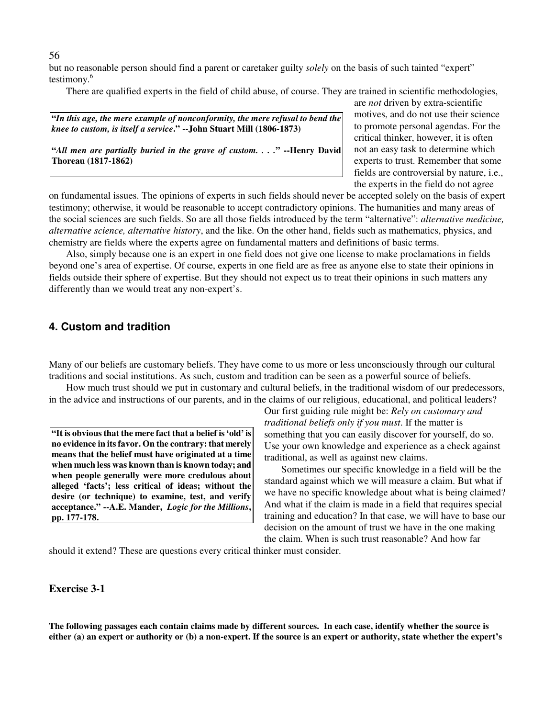but no reasonable person should find a parent or caretaker guilty *solely* on the basis of such tainted "expert" testimony. 6

There are qualified experts in the field of child abuse, of course. They are trained in scientific methodologies,

**"***In this age, the mere example of nonconformity, the mere refusal to bend the knee to custom, is itself a service***." --John Stuart Mill (1806-1873)**

**"***All men are partially buried in the grave of custom. . . .***" --Henry David Thoreau (1817-1862)**

are *not* driven by extra-scientific motives, and do not use their science to promote personal agendas. For the critical thinker, however, it is often not an easy task to determine which experts to trust. Remember that some fields are controversial by nature, i.e., the experts in the field do not agree

on fundamental issues. The opinions of experts in such fields should never be accepted solely on the basis of expert testimony; otherwise, it would be reasonable to accept contradictory opinions. The humanities and many areas of the social sciences are such fields. So are all those fields introduced by the term "alternative": *alternative medicine, alternative science, alternative history*, and the like. On the other hand, fields such as mathematics, physics, and chemistry are fields where the experts agree on fundamental matters and definitions of basic terms.

Also, simply because one is an expert in one field does not give one license to make proclamations in fields beyond one's area of expertise. Of course, experts in one field are as free as anyone else to state their opinions in fields outside their sphere of expertise. But they should not expect us to treat their opinions in such matters any differently than we would treat any non-expert's.

### **4. Custom and tradition**

Many of our beliefs are customary beliefs. They have come to us more or less unconsciously through our cultural traditions and social institutions. As such, custom and tradition can be seen as a powerful source of beliefs.

How much trust should we put in customary and cultural beliefs, in the traditional wisdom of our predecessors, in the advice and instructions of our parents, and in the claims of our religious, educational, and political leaders?

**"It is obviousthat the mere fact that a belief is'old' is no evidence in itsfavor. On the contrary: that merely means that the belief must have originated at a time when much less was known than is known today; and when people generally were more credulous about alleged 'facts'; less critical of ideas; without the desire (or technique) to examine, test, and verify acceptance." --A.E. Mander,** *Logic for the Millions***, pp. 177-178.**

Our first guiding rule might be: *Rely on customary and traditional beliefs only if you must*. If the matter is something that you can easily discover for yourself, do so. Use your own knowledge and experience as a check against traditional, as well as against new claims.

Sometimes our specific knowledge in a field will be the standard against which we will measure a claim. But what if we have no specific knowledge about what is being claimed? And what if the claim is made in a field that requires special training and education? In that case, we will have to base our decision on the amount of trust we have in the one making the claim. When is such trust reasonable? And how far

should it extend? These are questions every critical thinker must consider.

### **Exercise 3-1**

The following passages each contain claims made by different sources. In each case, identify whether the source is either (a) an expert or authority or (b) a non-expert. If the source is an expert or authority, state whether the expert's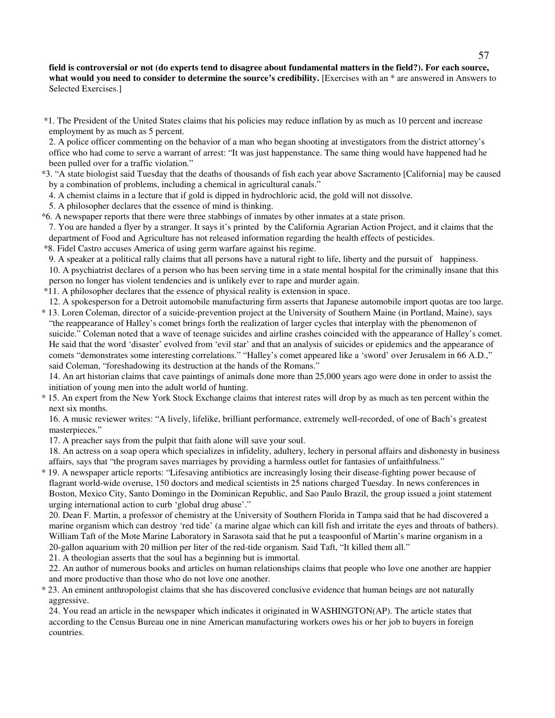#### field is controversial or not (do experts tend to disagree about fundamental matters in the field?). For each source, **what would you need to consider to determine the source's credibility.** [Exercises with an \* are answered in Answers to Selected Exercises.]

\*1. The President of the United States claims that his policies may reduce inflation by as much as 10 percent and increase employment by as much as 5 percent.

2. A police officer commenting on the behavior of a man who began shooting at investigators from the district attorney's office who had come to serve a warrant of arrest: "It was just happenstance. The same thing would have happened had he been pulled over for a traffic violation."

- \*3. "A state biologist said Tuesday that the deaths of thousands of fish each year above Sacramento [California] may be caused by a combination of problems, including a chemical in agricultural canals."
	- 4. A chemist claims in a lecture that if gold is dipped in hydrochloric acid, the gold will not dissolve.
- 5. A philosopher declares that the essence of mind is thinking.
- \*6. A newspaper reports that there were three stabbings of inmates by other inmates at a state prison.

7. You are handed a flyer by a stranger. It says it's printed by the California Agrarian Action Project, and it claims that the department of Food and Agriculture has not released information regarding the health effects of pesticides.

\*8. Fidel Castro accuses America of using germ warfare against his regime.

9. A speaker at a political rally claims that all persons have a natural right to life, liberty and the pursuit of happiness. 10. A psychiatrist declares of a person who has been serving time in a state mental hospital for the criminally insane that this person no longer has violent tendencies and is unlikely ever to rape and murder again.

- \*11. A philosopher declares that the essence of physical reality is extension in space.
- 12. A spokesperson for a Detroit automobile manufacturing firm asserts that Japanese automobile import quotas are too large. \* 13. Loren Coleman, director of a suicide-prevention project at the University of Southern Maine (in Portland, Maine), says "the reappearance of Halley's comet brings forth the realization of larger cycles that interplay with the phenomenon of suicide." Coleman noted that a wave of teenage suicides and airline crashes coincided with the appearance of Halley's comet. He said that the word 'disaster' evolved from 'evil star' and that an analysis of suicides or epidemics and the appearance of comets "demonstrates some interesting correlations." "Halley's comet appeared like a 'sword' over Jerusalem in 66 A.D.,"

said Coleman, "foreshadowing its destruction at the hands of the Romans." 14. An art historian claims that cave paintings of animals done more than 25,000 years ago were done in order to assist the initiation of young men into the adult world of hunting.

\* 15. An expert from the New York Stock Exchange claims that interest rates will drop by as much as ten percent within the next six months.

16. A music reviewer writes: "A lively, lifelike, brilliant performance, extremely well-recorded, of one of Bach's greatest masterpieces."

17. A preacher says from the pulpit that faith alone will save your soul.

18. An actress on a soap opera which specializes in infidelity, adultery, lechery in personal affairs and dishonesty in business affairs, says that "the program saves marriages by providing a harmless outlet for fantasies of unfaithfulness."

\* 19. A newspaper article reports: "Lifesaving antibiotics are increasingly losing their disease-fighting power because of flagrant world-wide overuse, 150 doctors and medical scientists in 25 nations charged Tuesday. In news conferences in Boston, Mexico City, Santo Domingo in the Dominican Republic, and Sao Paulo Brazil, the group issued a joint statement urging international action to curb 'global drug abuse'."

20. Dean F. Martin, a professor of chemistry at the University of Southern Florida in Tampa said that he had discovered a marine organism which can destroy 'red tide' (a marine algae which can kill fish and irritate the eyes and throats of bathers). William Taft of the Mote Marine Laboratory in Sarasota said that he put a teaspoonful of Martin's marine organism in a 20-gallon aquarium with 20 million per liter of the red-tide organism. Said Taft, "It killed them all."

21. A theologian asserts that the soul has a beginning but is immortal.

22. An author of numerous books and articles on human relationships claims that people who love one another are happier and more productive than those who do not love one another.

\* 23. An eminent anthropologist claims that she has discovered conclusive evidence that human beings are not naturally aggressive.

24. You read an article in the newspaper which indicates it originated in WASHINGTON(AP). The article states that according to the Census Bureau one in nine American manufacturing workers owes his or her job to buyers in foreign countries.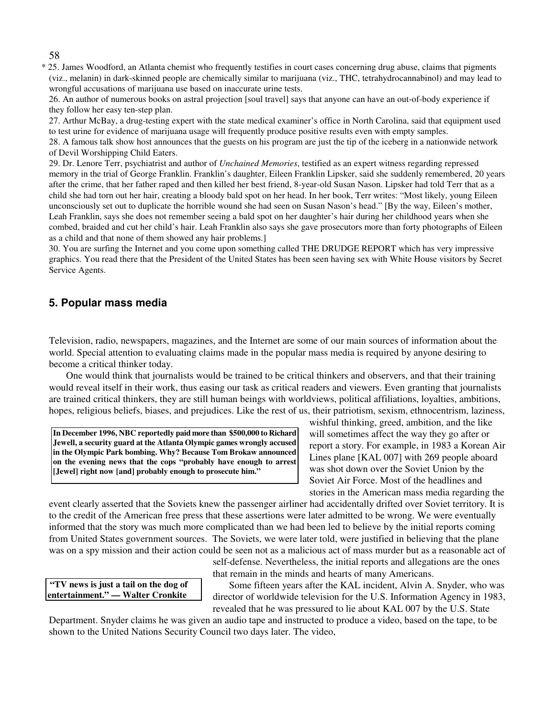\* 25. James Woodford, an Atlanta chemist who frequently testifies in court cases concerning drug abuse, claims that pigments (viz., melanin) in dark-skinned people are chemically similar to marijuana (viz., THC, tetrahydrocannabinol) and may lead to wrongful accusations of marijuana use based on inaccurate urine tests.

26. An author of numerous books on astral projection [soul travel] says that anyone can have an out-of-body experience if they follow her easy ten-step plan.

27. Arthur McBay, a drug-testing expert with the state medical examiner's office in North Carolina, said that equipment used to test urine for evidence of marijuana usage will frequently produce positive results even with empty samples.

28. A famous talk show host announces that the guests on his program are just the tip of the iceberg in a nationwide network of Devil Worshipping Child Eaters.

29. Dr. Lenore Terr, psychiatrist and author of *Unchained Memories*, testified as an expert witness regarding repressed memory in the trial of George Franklin. Franklin's daughter, Eileen Franklin Lipsker, said she suddenly remembered, 20 years after the crime, that her father raped and then killed her best friend, 8-year-old Susan Nason. Lipsker had told Terr that as a child she had torn out her hair, creating a bloody bald spot on her head. In her book, Terr writes: "Most likely, young Eileen unconsciously set out to duplicate the horrible wound she had seen on Susan Nason's head." [By the way, Eileen's mother, Leah Franklin, says she does not remember seeing a bald spot on her daughter's hair during her childhood years when she combed, braided and cut her child's hair. Leah Franklin also says she gave prosecutors more than forty photographs of Eileen as a child and that none of them showed any hair problems.]

30. You are surfing the Internet and you come upon something called THE DRUDGE REPORT which has very impressive graphics. You read there that the President of the United States has been seen having sex with White House visitors by Secret Service Agents.

#### **5. Popular mass media**

Television, radio, newspapers, magazines, and the Internet are some of our main sources of information about the world. Special attention to evaluating claims made in the popular mass media is required by anyone desiring to become a critical thinker today.

One would think that journalists would be trained to be critical thinkers and observers, and that their training would reveal itself in their work, thus easing our task as critical readers and viewers. Even granting that journalists are trained critical thinkers, they are still human beings with worldviews, political affiliations, loyalties, ambitions, hopes, religious beliefs, biases, and prejudices. Like the rest of us, their patriotism, sexism, ethnocentrism, laziness,

**In December 1996, NBC reportedly paid more than \$500,000 to Richard Jewell, a security guard at the Atlanta Olympic games wrongly accused in the Olympic Park bombing. Why? Because Tom Brokaw announced on the evening news that the cops "probably have enough to arrest [Jewel] right now [and] probably enough to prosecute him."**

wishful thinking, greed, ambition, and the like will sometimes affect the way they go after or report a story. For example, in 1983 a Korean Air Lines plane [KAL 007] with 269 people aboard was shot down over the Soviet Union by the Soviet Air Force. Most of the headlines and stories in the American mass media regarding the

event clearly asserted that the Soviets knew the passenger airliner had accidentally drifted over Soviet territory. It is to the credit of the American free press that these assertions were later admitted to be wrong. We were eventually informed that the story was much more complicated than we had been led to believe by the initial reports coming from United States government sources. The Soviets, we were later told, were justified in believing that the plane was on a spy mission and their action could be seen not as a malicious act of mass murder but as a reasonable act of self-defense. Nevertheless, the initial reports and allegations are the ones

**"TV news is just a tail on the dog of entertainment." — Walter Cronkite**

that remain in the minds and hearts of many Americans.

Some fifteen years after the KAL incident, Alvin A. Snyder, who was director of worldwide television for the U.S. Information Agency in 1983, revealed that he was pressured to lie about KAL 007 by the U.S. State

Department. Snyder claims he was given an audio tape and instructed to produce a video, based on the tape, to be shown to the United Nations Security Council two days later. The video,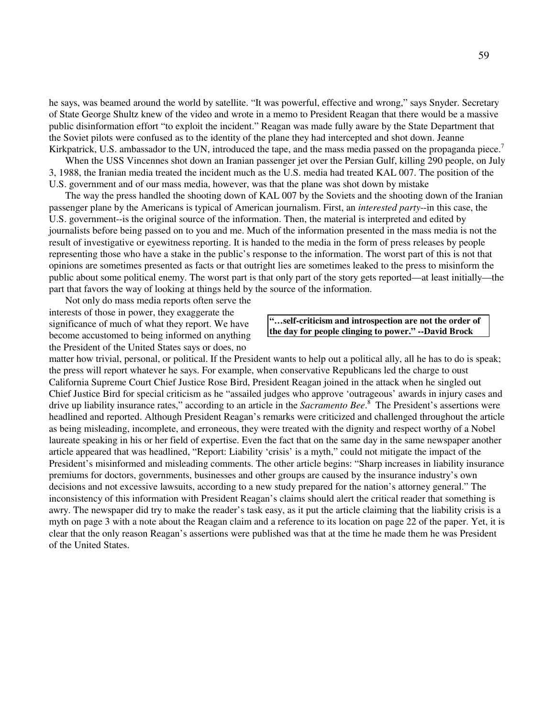he says, was beamed around the world by satellite. "It was powerful, effective and wrong," says Snyder. Secretary of State George Shultz knew of the video and wrote in a memo to President Reagan that there would be a massive public disinformation effort "to exploit the incident." Reagan was made fully aware by the State Department that the Soviet pilots were confused as to the identity of the plane they had intercepted and shot down. Jeanne Kirkpatrick, U.S. ambassador to the UN, introduced the tape, and the mass media passed on the propaganda piece.<sup>7</sup>

When the USS Vincennes shot down an Iranian passenger jet over the Persian Gulf, killing 290 people, on July 3, 1988, the Iranian media treated the incident much as the U.S. media had treated KAL 007. The position of the U.S. government and of our mass media, however, was that the plane was shot down by mistake

The way the press handled the shooting down of KAL 007 by the Soviets and the shooting down of the Iranian passenger plane by the Americans is typical of American journalism. First, an *interested party*--in this case, the U.S. government--is the original source of the information. Then, the material is interpreted and edited by journalists before being passed on to you and me. Much of the information presented in the mass media is not the result of investigative or eyewitness reporting. It is handed to the media in the form of press releases by people representing those who have a stake in the public's response to the information. The worst part of this is not that opinions are sometimes presented as facts or that outright lies are sometimes leaked to the press to misinform the public about some political enemy. The worst part is that only part of the story gets reported—at least initially—the part that favors the way of looking at things held by the source of the information.

Not only do mass media reports often serve the interests of those in power, they exaggerate the significance of much of what they report. We have become accustomed to being informed on anything the President of the United States says or does, no

**"…self-criticism and introspection are not the order of the day for people clinging to power." --David Brock**

matter how trivial, personal, or political. If the President wants to help out a political ally, all he has to do is speak; the press will report whatever he says. For example, when conservative Republicans led the charge to oust California Supreme Court Chief Justice Rose Bird, President Reagan joined in the attack when he singled out Chief Justice Bird for special criticism as he "assailed judges who approve 'outrageous' awards in injury cases and drive up liability insurance rates," according to an article in the *Sacramento Bee*. 8 The President's assertions were headlined and reported. Although President Reagan's remarks were criticized and challenged throughout the article as being misleading, incomplete, and erroneous, they were treated with the dignity and respect worthy of a Nobel laureate speaking in his or her field of expertise. Even the fact that on the same day in the same newspaper another article appeared that was headlined, "Report: Liability 'crisis' is a myth," could not mitigate the impact of the President's misinformed and misleading comments. The other article begins: "Sharp increases in liability insurance premiums for doctors, governments, businesses and other groups are caused by the insurance industry's own decisions and not excessive lawsuits, according to a new study prepared for the nation's attorney general." The inconsistency of this information with President Reagan's claims should alert the critical reader that something is awry. The newspaper did try to make the reader's task easy, as it put the article claiming that the liability crisis is a myth on page 3 with a note about the Reagan claim and a reference to its location on page 22 of the paper. Yet, it is clear that the only reason Reagan's assertions were published was that at the time he made them he was President of the United States.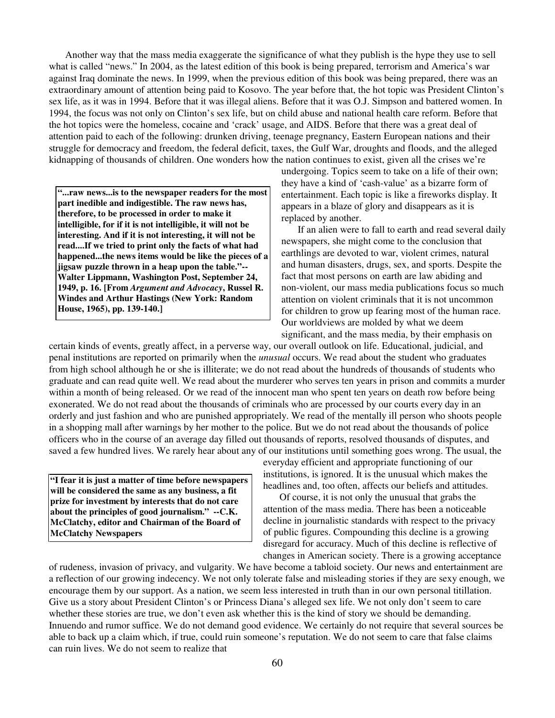Another way that the mass media exaggerate the significance of what they publish is the hype they use to sell what is called "news." In 2004, as the latest edition of this book is being prepared, terrorism and America's war against Iraq dominate the news. In 1999, when the previous edition of this book was being prepared, there was an extraordinary amount of attention being paid to Kosovo. The year before that, the hot topic was President Clinton's sex life, as it was in 1994. Before that it was illegal aliens. Before that it was O.J. Simpson and battered women. In 1994, the focus was not only on Clinton's sex life, but on child abuse and national health care reform. Before that the hot topics were the homeless, cocaine and 'crack' usage, and AIDS. Before that there was a great deal of attention paid to each of the following: drunken driving, teenage pregnancy, Eastern European nations and their struggle for democracy and freedom, the federal deficit, taxes, the Gulf War, droughts and floods, and the alleged kidnapping of thousands of children. One wonders how the nation continues to exist, given all the crises we're

**"...raw news...is to the newspaper readers for the most part inedible and indigestible. The raw news has, therefore, to be processed in order to make it intelligible, for if it is not intelligible, it will not be interesting. And if it is not interesting, it will not be read....If we tried to print only the facts of what had happened...the news items would be like the pieces of a jigsaw puzzle thrown in a heap upon the table."-- Walter Lippmann, Washington Post, September 24, 1949, p. 16. [From** *Argument and Advocacy***, Russel R. Windes and Arthur Hastings (New York: Random House, 1965), pp. 139-140.]**

undergoing. Topics seem to take on a life of their own; they have a kind of 'cash-value' as a bizarre form of entertainment. Each topic is like a fireworks display. It appears in a blaze of glory and disappears as it is replaced by another.

If an alien were to fall to earth and read several daily newspapers, she might come to the conclusion that earthlings are devoted to war, violent crimes, natural and human disasters, drugs, sex, and sports. Despite the fact that most persons on earth are law abiding and non-violent, our mass media publications focus so much attention on violent criminals that it is not uncommon for children to grow up fearing most of the human race. Our worldviews are molded by what we deem significant, and the mass media, by their emphasis on

certain kinds of events, greatly affect, in a perverse way, our overall outlook on life. Educational, judicial, and penal institutions are reported on primarily when the *unusual* occurs. We read about the student who graduates from high school although he or she is illiterate; we do not read about the hundreds of thousands of students who graduate and can read quite well. We read about the murderer who serves ten years in prison and commits a murder within a month of being released. Or we read of the innocent man who spent ten years on death row before being exonerated. We do not read about the thousands of criminals who are processed by our courts every day in an orderly and just fashion and who are punished appropriately. We read of the mentally ill person who shoots people in a shopping mall after warnings by her mother to the police. But we do not read about the thousands of police officers who in the course of an average day filled out thousands of reports, resolved thousands of disputes, and saved a few hundred lives. We rarely hear about any of our institutions until something goes wrong. The usual, the

**"I fear it is just a matter of time before newspapers will be considered the same as any business, a fit prize for investment by interests that do not care about the principles of good journalism." --C.K. McClatchy, editor and Chairman of the Board of McClatchy Newspapers**

everyday efficient and appropriate functioning of our institutions, is ignored. It is the unusual which makes the headlines and, too often, affects our beliefs and attitudes.

Of course, it is not only the unusual that grabs the attention of the mass media. There has been a noticeable decline in journalistic standards with respect to the privacy of public figures. Compounding this decline is a growing disregard for accuracy. Much of this decline is reflective of changes in American society. There is a growing acceptance

of rudeness, invasion of privacy, and vulgarity. We have become a tabloid society. Our news and entertainment are a reflection of our growing indecency. We not only tolerate false and misleading stories if they are sexy enough, we encourage them by our support. As a nation, we seem less interested in truth than in our own personal titillation. Give us a story about President Clinton's or Princess Diana's alleged sex life. We not only don't seem to care whether these stories are true, we don't even ask whether this is the kind of story we should be demanding. Innuendo and rumor suffice. We do not demand good evidence. We certainly do not require that several sources be able to back up a claim which, if true, could ruin someone's reputation. We do not seem to care that false claims can ruin lives. We do not seem to realize that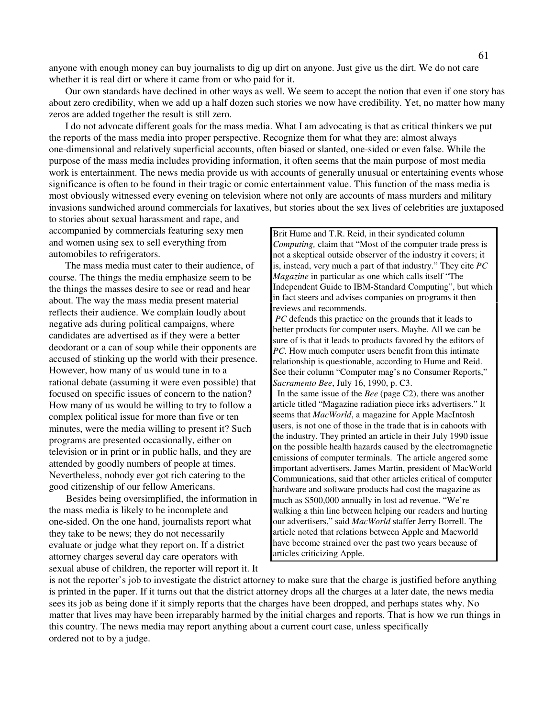anyone with enough money can buy journalists to dig up dirt on anyone. Just give us the dirt. We do not care whether it is real dirt or where it came from or who paid for it.

Our own standards have declined in other ways as well. We seem to accept the notion that even if one story has about zero credibility, when we add up a half dozen such stories we now have credibility. Yet, no matter how many zeros are added together the result is still zero.

I do not advocate different goals for the mass media. What I am advocating is that as critical thinkers we put the reports of the mass media into proper perspective. Recognize them for what they are: almost always one-dimensional and relatively superficial accounts, often biased or slanted, one-sided or even false. While the purpose of the mass media includes providing information, it often seems that the main purpose of most media work is entertainment. The news media provide us with accounts of generally unusual or entertaining events whose significance is often to be found in their tragic or comic entertainment value. This function of the mass media is most obviously witnessed every evening on television where not only are accounts of mass murders and military invasions sandwiched around commercials for laxatives, but stories about the sex lives of celebrities are juxtaposed

to stories about sexual harassment and rape, and accompanied by commercials featuring sexy men and women using sex to sell everything from automobiles to refrigerators.

The mass media must cater to their audience, of course. The things the media emphasize seem to be the things the masses desire to see or read and hear about. The way the mass media present material reflects their audience. We complain loudly about negative ads during political campaigns, where candidates are advertised as if they were a better deodorant or a can of soup while their opponents are accused of stinking up the world with their presence. However, how many of us would tune in to a rational debate (assuming it were even possible) that focused on specific issues of concern to the nation? How many of us would be willing to try to follow a complex political issue for more than five or ten minutes, were the media willing to present it? Such programs are presented occasionally, either on television or in print or in public halls, and they are attended by goodly numbers of people at times. Nevertheless, nobody ever got rich catering to the good citizenship of our fellow Americans.

Besides being oversimplified, the information in the mass media is likely to be incomplete and one-sided. On the one hand, journalists report what they take to be news; they do not necessarily evaluate or judge what they report on. If a district attorney charges several day care operators with sexual abuse of children, the reporter will report it. It Brit Hume and T.R. Reid, in their syndicated column *Computing,* claim that "Most of the computer trade press is not a skeptical outside observer of the industry it covers; it is, instead, very much a part of that industry." They cite *PC Magazine* in particular as one which calls itself "The Independent Guide to IBM-Standard Computing", but which in fact steers and advises companies on programs it then reviews and recommends.

*PC* defends this practice on the grounds that it leads to better products for computer users. Maybe. All we can be sure of is that it leads to products favored by the editors of *PC*. How much computer users benefit from this intimate relationship is questionable, according to Hume and Reid. See their column "Computer mag's no Consumer Reports," *Sacramento Bee*, July 16, 1990, p. C3. In the same issue of the *Bee* (page C2), there was another

article titled "Magazine radiation piece irks advertisers." It seems that *MacWorld*, a magazine for Apple MacIntosh users, is not one of those in the trade that is in cahoots with the industry. They printed an article in their July 1990 issue on the possible health hazards caused by the electromagnetic emissions of computer terminals. The article angered some important advertisers. James Martin, president of MacWorld Communications, said that other articles critical of computer hardware and software products had cost the magazine as much as \$500,000 annually in lost ad revenue. "We're walking a thin line between helping our readers and hurting our advertisers," said *MacWorld* staffer Jerry Borrell. The article noted that relations between Apple and Macworld have become strained over the past two years because of articles criticizing Apple.

is not the reporter's job to investigate the district attorney to make sure that the charge is justified before anything is printed in the paper. If it turns out that the district attorney drops all the charges at a later date, the news media sees its job as being done if it simply reports that the charges have been dropped, and perhaps states why. No matter that lives may have been irreparably harmed by the initial charges and reports. That is how we run things in this country. The news media may report anything about a current court case, unless specifically ordered not to by a judge.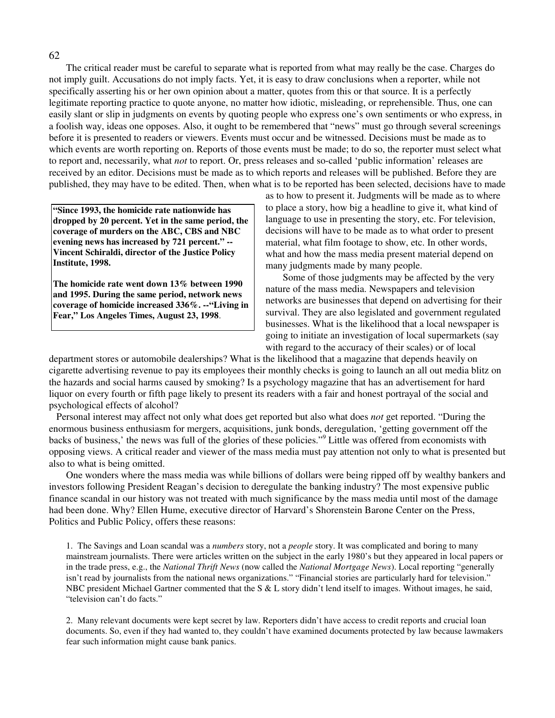The critical reader must be careful to separate what is reported from what may really be the case. Charges do not imply guilt. Accusations do not imply facts. Yet, it is easy to draw conclusions when a reporter, while not specifically asserting his or her own opinion about a matter, quotes from this or that source. It is a perfectly legitimate reporting practice to quote anyone, no matter how idiotic, misleading, or reprehensible. Thus, one can easily slant or slip in judgments on events by quoting people who express one's own sentiments or who express, in a foolish way, ideas one opposes. Also, it ought to be remembered that "news" must go through several screenings before it is presented to readers or viewers. Events must occur and be witnessed. Decisions must be made as to which events are worth reporting on. Reports of those events must be made; to do so, the reporter must select what to report and, necessarily, what *not* to report. Or, press releases and so-called 'public information' releases are received by an editor. Decisions must be made as to which reports and releases will be published. Before they are published, they may have to be edited. Then, when what is to be reported has been selected, decisions have to made

**"Since 1993, the homicide rate nationwide has dropped by 20 percent. Yet in the same period, the coverage of murders on the ABC, CBS and NBC evening news has increased by 721 percent." -- Vincent Schiraldi, director of the Justice Policy Institute, 1998.**

**The homicide rate went down 13% between 1990 and 1995. During the same period, network news coverage of homicide increased 336%. --"Living in Fear," Los Angeles Times, August 23, 1998**.

as to how to present it. Judgments will be made as to where to place a story, how big a headline to give it, what kind of language to use in presenting the story, etc. For television, decisions will have to be made as to what order to present material, what film footage to show, etc. In other words, what and how the mass media present material depend on many judgments made by many people.

Some of those judgments may be affected by the very nature of the mass media. Newspapers and television networks are businesses that depend on advertising for their survival. They are also legislated and government regulated businesses. What is the likelihood that a local newspaper is going to initiate an investigation of local supermarkets (say with regard to the accuracy of their scales) or of local

department stores or automobile dealerships? What is the likelihood that a magazine that depends heavily on cigarette advertising revenue to pay its employees their monthly checks is going to launch an all out media blitz on the hazards and social harms caused by smoking? Is a psychology magazine that has an advertisement for hard liquor on every fourth or fifth page likely to present its readers with a fair and honest portrayal of the social and psychological effects of alcohol?

Personal interest may affect not only what does get reported but also what does *not* get reported. "During the enormous business enthusiasm for mergers, acquisitions, junk bonds, deregulation, 'getting government off the backs of business,' the news was full of the glories of these policies."<sup>9</sup> Little was offered from economists with opposing views. A critical reader and viewer of the mass media must pay attention not only to what is presented but also to what is being omitted.

One wonders where the mass media was while billions of dollars were being ripped off by wealthy bankers and investors following President Reagan's decision to deregulate the banking industry? The most expensive public finance scandal in our history was not treated with much significance by the mass media until most of the damage had been done. Why? Ellen Hume, executive director of Harvard's Shorenstein Barone Center on the Press, Politics and Public Policy, offers these reasons:

1. The Savings and Loan scandal was a *numbers* story, not a *people* story. It was complicated and boring to many mainstream journalists. There were articles written on the subject in the early 1980's but they appeared in local papers or in the trade press, e.g., the *National Thrift News* (now called the *National Mortgage News*). Local reporting "generally isn't read by journalists from the national news organizations." "Financial stories are particularly hard for television." NBC president Michael Gartner commented that the S & L story didn't lend itself to images. Without images, he said, "television can't do facts."

2. Many relevant documents were kept secret by law. Reporters didn't have access to credit reports and crucial loan documents. So, even if they had wanted to, they couldn't have examined documents protected by law because lawmakers fear such information might cause bank panics.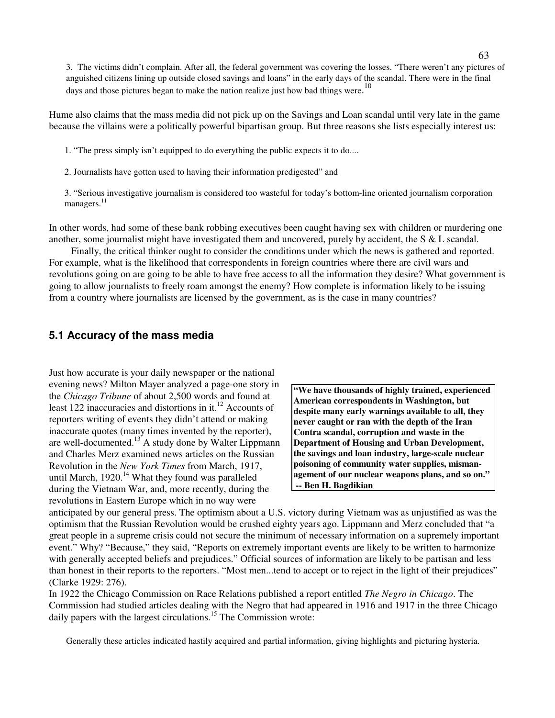3. The victims didn't complain. After all, the federal government was covering the losses. "There weren't any pictures of anguished citizens lining up outside closed savings and loans" in the early days of the scandal. There were in the final days and those pictures began to make the nation realize just how bad things were.<sup>10</sup>

Hume also claims that the mass media did not pick up on the Savings and Loan scandal until very late in the game because the villains were a politically powerful bipartisan group. But three reasons she lists especially interest us:

1. "The press simply isn't equipped to do everything the public expects it to do....

2. Journalists have gotten used to having their information predigested" and

3. "Serious investigative journalism is considered too wasteful for today's bottom-line oriented journalism corporation managers.<sup>11</sup>

In other words, had some of these bank robbing executives been caught having sex with children or murdering one another, some journalist might have investigated them and uncovered, purely by accident, the S & L scandal.

Finally, the critical thinker ought to consider the conditions under which the news is gathered and reported. For example, what is the likelihood that correspondents in foreign countries where there are civil wars and revolutions going on are going to be able to have free access to all the information they desire? What government is going to allow journalists to freely roam amongst the enemy? How complete is information likely to be issuing from a country where journalists are licensed by the government, as is the case in many countries?

## **5.1 Accuracy of the mass media**

Just how accurate is your daily newspaper or the national evening news? Milton Mayer analyzed a page-one story in the *Chicago Tribune* of about 2,500 words and found at least 122 inaccuracies and distortions in it.<sup>12</sup> Accounts of reporters writing of events they didn't attend or making inaccurate quotes (many times invented by the reporter), are well-documented.<sup>13</sup> A study done by Walter Lippmann and Charles Merz examined news articles on the Russian Revolution in the *New York Times* from March, 1917, until March, 1920.<sup>14</sup> What they found was paralleled during the Vietnam War, and, more recently, during the revolutions in Eastern Europe which in no way were

**"We have thousands of highly trained, experienced American correspondents in Washington, but despite many early warnings available to all, they never caught or ran with the depth of the Iran Contra scandal, corruption and waste in the Department of Housing and Urban Development, the savings and loan industry, large-scale nuclear poisoning of community water supplies, mismanagement of our nuclear weapons plans, and so on." -- Ben H. Bagdikian**

anticipated by our general press. The optimism about a U.S. victory during Vietnam was as unjustified as was the optimism that the Russian Revolution would be crushed eighty years ago. Lippmann and Merz concluded that "a great people in a supreme crisis could not secure the minimum of necessary information on a supremely important event." Why? "Because," they said, "Reports on extremely important events are likely to be written to harmonize with generally accepted beliefs and prejudices." Official sources of information are likely to be partisan and less than honest in their reports to the reporters. "Most men...tend to accept or to reject in the light of their prejudices" (Clarke 1929: 276).

In 1922 the Chicago Commission on Race Relations published a report entitled *The Negro in Chicago*. The Commission had studied articles dealing with the Negro that had appeared in 1916 and 1917 in the three Chicago daily papers with the largest circulations.<sup>15</sup> The Commission wrote:

Generally these articles indicated hastily acquired and partial information, giving highlights and picturing hysteria.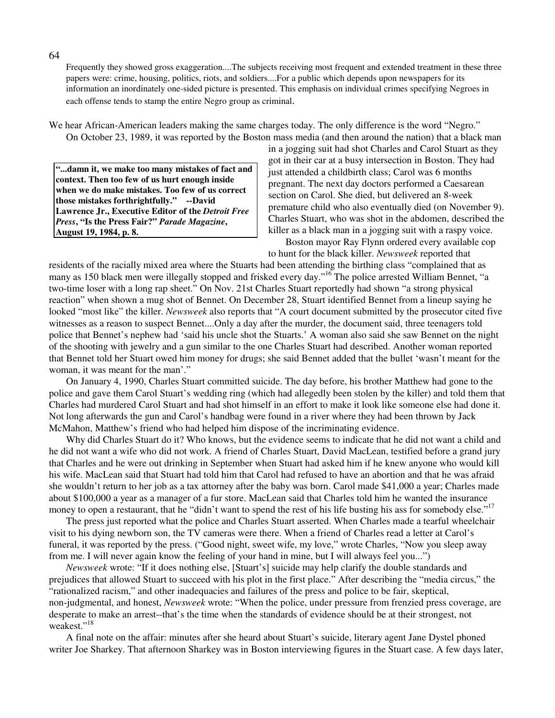Frequently they showed gross exaggeration....The subjects receiving most frequent and extended treatment in these three papers were: crime, housing, politics, riots, and soldiers....For a public which depends upon newspapers for its information an inordinately one-sided picture is presented. This emphasis on individual crimes specifying Negroes in each offense tends to stamp the entire Negro group as criminal.

We hear African-American leaders making the same charges today. The only difference is the word "Negro." On October 23, 1989, it was reported by the Boston mass media (and then around the nation) that a black man

**"...damn it, we make too many mistakes of fact and context. Then too few of us hurt enough inside when we do make mistakes. Too few of us correct those mistakes forthrightfully." --David Lawrence Jr., Executive Editor of the** *Detroit Free Press***, "Is the Press Fair?"** *Parade Magazine***, August 19, 1984, p. 8.**

in a jogging suit had shot Charles and Carol Stuart as they got in their car at a busy intersection in Boston. They had just attended a childbirth class; Carol was 6 months pregnant. The next day doctors performed a Caesarean section on Carol. She died, but delivered an 8-week premature child who also eventually died (on November 9). Charles Stuart, who was shot in the abdomen, described the killer as a black man in a jogging suit with a raspy voice.

Boston mayor Ray Flynn ordered every available cop to hunt for the black killer. *Newsweek* reported that

residents of the racially mixed area where the Stuarts had been attending the birthing class "complained that as many as 150 black men were illegally stopped and frisked every day."<sup>16</sup> The police arrested William Bennet, "a two-time loser with a long rap sheet." On Nov. 21st Charles Stuart reportedly had shown "a strong physical reaction" when shown a mug shot of Bennet. On December 28, Stuart identified Bennet from a lineup saying he looked "most like" the killer. *Newsweek* also reports that "A court document submitted by the prosecutor cited five witnesses as a reason to suspect Bennet....Only a day after the murder, the document said, three teenagers told police that Bennet's nephew had 'said his uncle shot the Stuarts.' A woman also said she saw Bennet on the night of the shooting with jewelry and a gun similar to the one Charles Stuart had described. Another woman reported that Bennet told her Stuart owed him money for drugs; she said Bennet added that the bullet 'wasn't meant for the woman, it was meant for the man'."

On January 4, 1990, Charles Stuart committed suicide. The day before, his brother Matthew had gone to the police and gave them Carol Stuart's wedding ring (which had allegedly been stolen by the killer) and told them that Charles had murdered Carol Stuart and had shot himself in an effort to make it look like someone else had done it. Not long afterwards the gun and Carol's handbag were found in a river where they had been thrown by Jack McMahon, Matthew's friend who had helped him dispose of the incriminating evidence.

Why did Charles Stuart do it? Who knows, but the evidence seems to indicate that he did not want a child and he did not want a wife who did not work. A friend of Charles Stuart, David MacLean, testified before a grand jury that Charles and he were out drinking in September when Stuart had asked him if he knew anyone who would kill his wife. MacLean said that Stuart had told him that Carol had refused to have an abortion and that he was afraid she wouldn't return to her job as a tax attorney after the baby was born. Carol made \$41,000 a year; Charles made about \$100,000 a year as a manager of a fur store. MacLean said that Charles told him he wanted the insurance money to open a restaurant, that he "didn't want to spend the rest of his life busting his ass for somebody else."<sup>17</sup>

The press just reported what the police and Charles Stuart asserted. When Charles made a tearful wheelchair visit to his dying newborn son, the TV cameras were there. When a friend of Charles read a letter at Carol's funeral, it was reported by the press. ("Good night, sweet wife, my love," wrote Charles, "Now you sleep away from me. I will never again know the feeling of your hand in mine, but I will always feel you...")

*Newsweek* wrote: "If it does nothing else, [Stuart's] suicide may help clarify the double standards and prejudices that allowed Stuart to succeed with his plot in the first place." After describing the "media circus," the "rationalized racism," and other inadequacies and failures of the press and police to be fair, skeptical, non-judgmental, and honest, *Newsweek* wrote: "When the police, under pressure from frenzied press coverage, are desperate to make an arrest--that's the time when the standards of evidence should be at their strongest, not weakest."<sup>18</sup>

A final note on the affair: minutes after she heard about Stuart's suicide, literary agent Jane Dystel phoned writer Joe Sharkey. That afternoon Sharkey was in Boston interviewing figures in the Stuart case. A few days later,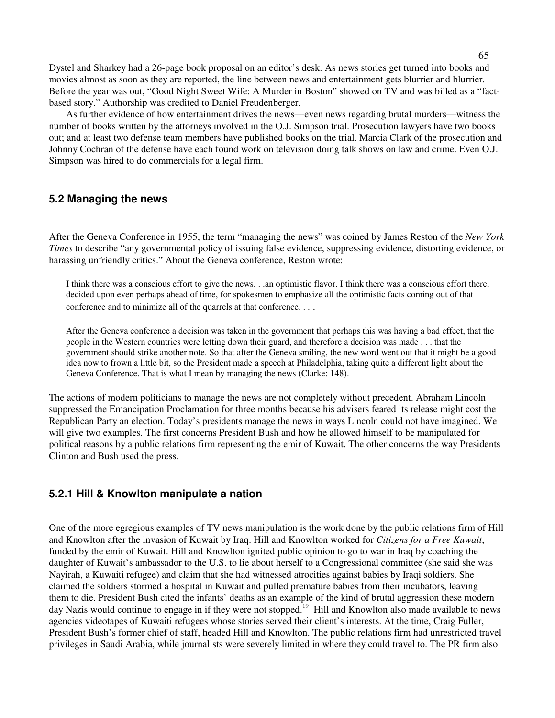Dystel and Sharkey had a 26-page book proposal on an editor's desk. As news stories get turned into books and movies almost as soon as they are reported, the line between news and entertainment gets blurrier and blurrier. Before the year was out, "Good Night Sweet Wife: A Murder in Boston" showed on TV and was billed as a "factbased story." Authorship was credited to Daniel Freudenberger.

As further evidence of how entertainment drives the news—even news regarding brutal murders—witness the number of books written by the attorneys involved in the O.J. Simpson trial. Prosecution lawyers have two books out; and at least two defense team members have published books on the trial. Marcia Clark of the prosecution and Johnny Cochran of the defense have each found work on television doing talk shows on law and crime. Even O.J. Simpson was hired to do commercials for a legal firm.

#### **5.2 Managing the news**

After the Geneva Conference in 1955, the term "managing the news" was coined by James Reston of the *New York Times* to describe "any governmental policy of issuing false evidence, suppressing evidence, distorting evidence, or harassing unfriendly critics." About the Geneva conference, Reston wrote:

I think there was a conscious effort to give the news. . .an optimistic flavor. I think there was a conscious effort there, decided upon even perhaps ahead of time, for spokesmen to emphasize all the optimistic facts coming out of that conference and to minimize all of the quarrels at that conference. . . .

After the Geneva conference a decision was taken in the government that perhaps this was having a bad effect, that the people in the Western countries were letting down their guard, and therefore a decision was made . . . that the government should strike another note. So that after the Geneva smiling, the new word went out that it might be a good idea now to frown a little bit, so the President made a speech at Philadelphia, taking quite a different light about the Geneva Conference. That is what I mean by managing the news (Clarke: 148).

The actions of modern politicians to manage the news are not completely without precedent. Abraham Lincoln suppressed the Emancipation Proclamation for three months because his advisers feared its release might cost the Republican Party an election. Today's presidents manage the news in ways Lincoln could not have imagined. We will give two examples. The first concerns President Bush and how he allowed himself to be manipulated for political reasons by a public relations firm representing the emir of Kuwait. The other concerns the way Presidents Clinton and Bush used the press.

## **5.2.1 Hill & Knowlton manipulate a nation**

One of the more egregious examples of TV news manipulation is the work done by the public relations firm of Hill and Knowlton after the invasion of Kuwait by Iraq. Hill and Knowlton worked for *Citizens for a Free Kuwait*, funded by the emir of Kuwait. Hill and Knowlton ignited public opinion to go to war in Iraq by coaching the daughter of Kuwait's ambassador to the U.S. to lie about herself to a Congressional committee (she said she was Nayirah, a Kuwaiti refugee) and claim that she had witnessed atrocities against babies by Iraqi soldiers. She claimed the soldiers stormed a hospital in Kuwait and pulled premature babies from their incubators, leaving them to die. President Bush cited the infants' deaths as an example of the kind of brutal aggression these modern day Nazis would continue to engage in if they were not stopped.<sup>19</sup> Hill and Knowlton also made available to news agencies videotapes of Kuwaiti refugees whose stories served their client's interests. At the time, Craig Fuller, President Bush's former chief of staff, headed Hill and Knowlton. The public relations firm had unrestricted travel privileges in Saudi Arabia, while journalists were severely limited in where they could travel to. The PR firm also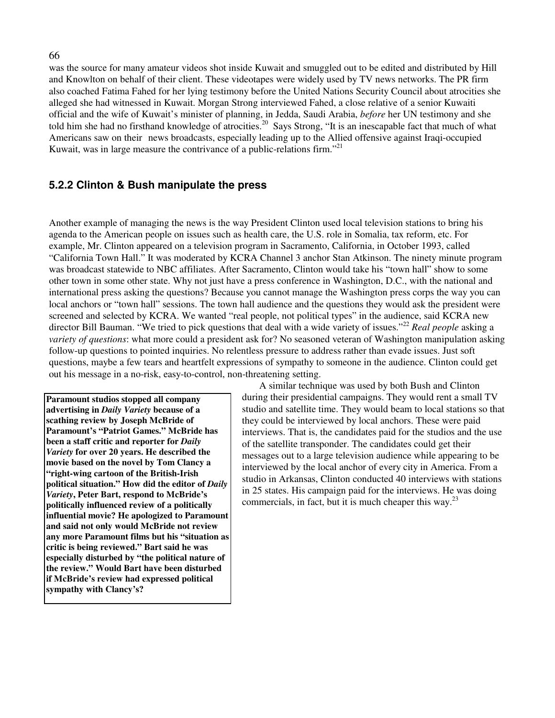was the source for many amateur videos shot inside Kuwait and smuggled out to be edited and distributed by Hill and Knowlton on behalf of their client. These videotapes were widely used by TV news networks. The PR firm also coached Fatima Fahed for her lying testimony before the United Nations Security Council about atrocities she alleged she had witnessed in Kuwait. Morgan Strong interviewed Fahed, a close relative of a senior Kuwaiti official and the wife of Kuwait's minister of planning, in Jedda, Saudi Arabia, *before* her UN testimony and she told him she had no firsthand knowledge of atrocities.<sup>20</sup> Says Strong, "It is an inescapable fact that much of what Americans saw on their news broadcasts, especially leading up to the Allied offensive against Iraqi-occupied Kuwait, was in large measure the contrivance of a public-relations firm."<sup>21</sup>

### **5.2.2 Clinton & Bush manipulate the press**

Another example of managing the news is the way President Clinton used local television stations to bring his agenda to the American people on issues such as health care, the U.S. role in Somalia, tax reform, etc. For example, Mr. Clinton appeared on a television program in Sacramento, California, in October 1993, called "California Town Hall." It was moderated by KCRA Channel 3 anchor Stan Atkinson. The ninety minute program was broadcast statewide to NBC affiliates. After Sacramento, Clinton would take his "town hall" show to some other town in some other state. Why not just have a press conference in Washington, D.C., with the national and international press asking the questions? Because you cannot manage the Washington press corps the way you can local anchors or "town hall" sessions. The town hall audience and the questions they would ask the president were screened and selected by KCRA. We wanted "real people, not political types" in the audience, said KCRA new director Bill Bauman. "We tried to pick questions that deal with a wide variety of issues." 22 *Real people* asking a *variety of questions*: what more could a president ask for? No seasoned veteran of Washington manipulation asking follow-up questions to pointed inquiries. No relentless pressure to address rather than evade issues. Just soft questions, maybe a few tears and heartfelt expressions of sympathy to someone in the audience. Clinton could get out his message in a no-risk, easy-to-control, non-threatening setting.

**Paramount studios stopped all company advertising in** *Daily Variety* **because of a scathing review by Joseph McBride of Paramount's "Patriot Games." McBride has been a staff critic and reporter for** *Daily Variety* **for over 20 years. He described the movie based on the novel by Tom Clancy a "right-wing cartoon of the British-Irish political situation." How did the editor of** *Daily Variety***, Peter Bart, respond to McBride's politically influenced review of a politically influential movie? He apologized to Paramount and said not only would McBride not review any more Paramount films but his "situation as critic is being reviewed." Bart said he was especially disturbed by "the political nature of the review." Would Bart have been disturbed if McBride's review had expressed political sympathy with Clancy's?**

A similar technique was used by both Bush and Clinton during their presidential campaigns. They would rent a small TV studio and satellite time. They would beam to local stations so that they could be interviewed by local anchors. These were paid interviews. That is, the candidates paid for the studios and the use of the satellite transponder. The candidates could get their messages out to a large television audience while appearing to be interviewed by the local anchor of every city in America. From a studio in Arkansas, Clinton conducted 40 interviews with stations in 25 states. His campaign paid for the interviews. He was doing commercials, in fact, but it is much cheaper this way.<sup>23</sup>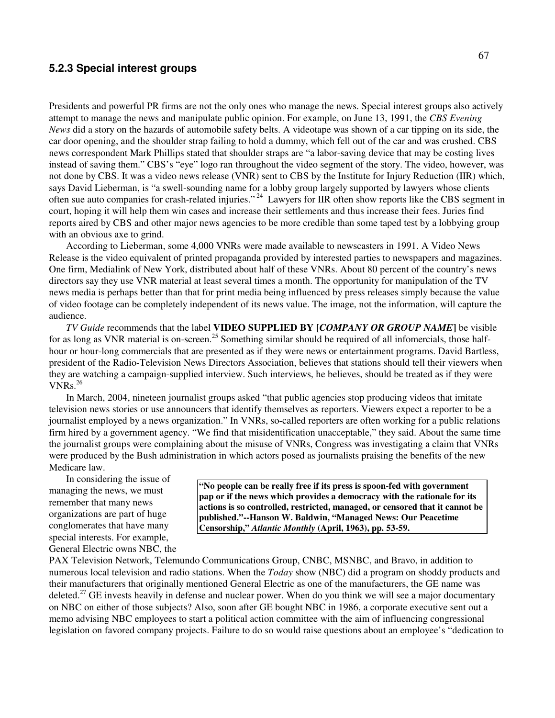#### **5.2.3 Special interest groups**

Presidents and powerful PR firms are not the only ones who manage the news. Special interest groups also actively attempt to manage the news and manipulate public opinion. For example, on June 13, 1991, the *CBS Evening News* did a story on the hazards of automobile safety belts. A videotape was shown of a car tipping on its side, the car door opening, and the shoulder strap failing to hold a dummy, which fell out of the car and was crushed. CBS news correspondent Mark Phillips stated that shoulder straps are "a labor-saving device that may be costing lives instead of saving them." CBS's "eye" logo ran throughout the video segment of the story. The video, however, was not done by CBS. It was a video news release (VNR) sent to CBS by the Institute for Injury Reduction (IIR) which, says David Lieberman, is "a swell-sounding name for a lobby group largely supported by lawyers whose clients often sue auto companies for crash-related injuries."<sup>24</sup> Lawyers for IIR often show reports like the CBS segment in court, hoping it will help them win cases and increase their settlements and thus increase their fees. Juries find reports aired by CBS and other major news agencies to be more credible than some taped test by a lobbying group with an obvious axe to grind.

According to Lieberman, some 4,000 VNRs were made available to newscasters in 1991. A Video News Release is the video equivalent of printed propaganda provided by interested parties to newspapers and magazines. One firm, Medialink of New York, distributed about half of these VNRs. About 80 percent of the country's news directors say they use VNR material at least several times a month. The opportunity for manipulation of the TV news media is perhaps better than that for print media being influenced by press releases simply because the value of video footage can be completely independent of its news value. The image, not the information, will capture the audience.

*TV Guide* recommends that the label **VIDEO SUPPLIED BY [***COMPANY OR GROUP NAME***]** be visible for as long as VNR material is on-screen.<sup>25</sup> Something similar should be required of all infomercials, those halfhour or hour-long commercials that are presented as if they were news or entertainment programs. David Bartless, president of the Radio-Television News Directors Association, believes that stations should tell their viewers when they are watching a campaign-supplied interview. Such interviews, he believes, should be treated as if they were VNRs. 26

In March, 2004, nineteen journalist groups asked "that public agencies stop producing videos that imitate television news stories or use announcers that identify themselves as reporters. Viewers expect a reporter to be a journalist employed by a news organization." In VNRs, so-called reporters are often working for a public relations firm hired by a government agency. "We find that misidentification unacceptable," they said. About the same time the journalist groups were complaining about the misuse of VNRs, Congress was investigating a claim that VNRs were produced by the Bush administration in which actors posed as journalists praising the benefits of the new Medicare law.

In considering the issue of managing the news, we must remember that many news organizations are part of huge conglomerates that have many special interests. For example, General Electric owns NBC, the

**"No people can be really free if its press is spoon-fed with government pap or if the news which provides a democracy with the rationale for its actions is so controlled, restricted, managed, or censored that it cannot be published."--Hanson W. Baldwin, "Managed News: Our Peacetime Censorship,"** *Atlantic Monthly* **(April, 1963), pp. 53-59.**

PAX Television Network, Telemundo Communications Group, CNBC, MSNBC, and Bravo, in addition to numerous local television and radio stations. When the *Today* show (NBC) did a program on shoddy products and their manufacturers that originally mentioned General Electric as one of the manufacturers, the GE name was deleted.<sup>27</sup> GE invests heavily in defense and nuclear power. When do you think we will see a major documentary on NBC on either of those subjects? Also, soon after GE bought NBC in 1986, a corporate executive sent out a memo advising NBC employees to start a political action committee with the aim of influencing congressional legislation on favored company projects. Failure to do so would raise questions about an employee's "dedication to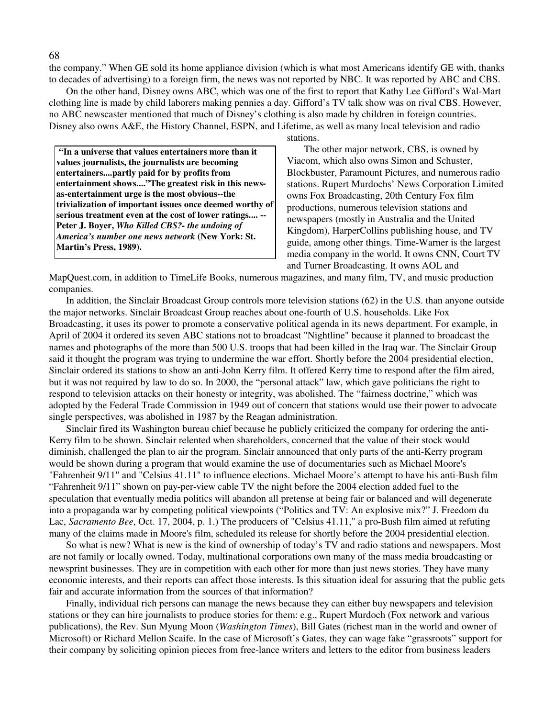the company." When GE sold its home appliance division (which is what most Americans identify GE with, thanks to decades of advertising) to a foreign firm, the news was not reported by NBC. It was reported by ABC and CBS.

On the other hand, Disney owns ABC, which was one of the first to report that Kathy Lee Gifford's Wal-Mart clothing line is made by child laborers making pennies a day. Gifford's TV talk show was on rival CBS. However, no ABC newscaster mentioned that much of Disney's clothing is also made by children in foreign countries. Disney also owns A&E, the History Channel, ESPN, and Lifetime, as well as many local television and radio

**"In a universe that values entertainers more than it values journalists, the journalists are becoming entertainers....partly paid for by profits from entertainment shows...."The greatest risk in this newsas-entertainment urge is the most obvious--the trivialization of important issues once deemed worthy of serious treatment even at the cost of lower ratings.... -- Peter J. Boyer,** *Who Killed CBS?- the undoing of America's number one news network* **(New York: St. Martin's Press, 1989).**

stations.

The other major network, CBS, is owned by Viacom, which also owns Simon and Schuster, Blockbuster, Paramount Pictures, and numerous radio stations. Rupert Murdochs' News Corporation Limited owns Fox Broadcasting, 20th Century Fox film productions, numerous television stations and newspapers (mostly in Australia and the United Kingdom), HarperCollins publishing house, and TV guide, among other things. Time-Warner is the largest media company in the world. It owns CNN, Court TV and Turner Broadcasting. It owns AOL and

MapQuest.com, in addition to TimeLife Books, numerous magazines, and many film, TV, and music production companies.

In addition, the Sinclair Broadcast Group controls more television stations (62) in the U.S. than anyone outside the major networks. Sinclair Broadcast Group reaches about one-fourth of U.S. households. Like Fox Broadcasting, it uses its power to promote a conservative political agenda in its news department. For example, in April of 2004 it ordered its seven ABC stations not to broadcast "Nightline" because it planned to broadcast the names and photographs of the more than 500 U.S. troops that had been killed in the Iraq war. The Sinclair Group said it thought the program was trying to undermine the war effort. Shortly before the 2004 presidential election, Sinclair ordered its stations to show an anti-John Kerry film. It offered Kerry time to respond after the film aired, but it was not required by law to do so. In 2000, the "personal attack" law, which gave politicians the right to respond to television attacks on their honesty or integrity, was abolished. The "fairness doctrine," which was adopted by the Federal Trade Commission in 1949 out of concern that stations would use their power to advocate single perspectives, was abolished in 1987 by the Reagan administration.

Sinclair fired its Washington bureau chief because he publicly criticized the company for ordering the anti-Kerry film to be shown. Sinclair relented when shareholders, concerned that the value of their stock would diminish, challenged the plan to air the program. Sinclair announced that only parts of the anti-Kerry program would be shown during a program that would examine the use of documentaries such as Michael Moore's "Fahrenheit 9/11" and "Celsius 41.11" to influence elections. Michael Moore's attempt to have his anti-Bush film "Fahrenheit 9/11" shown on pay-per-view cable TV the night before the 2004 election added fuel to the speculation that eventually media politics will abandon all pretense at being fair or balanced and will degenerate into a propaganda war by competing political viewpoints ("Politics and TV: An explosive mix?" J. Freedom du Lac, *Sacramento Bee*, Oct. 17, 2004, p. 1.) The producers of "Celsius 41.11," a pro-Bush film aimed at refuting many of the claims made in Moore's film, scheduled its release for shortly before the 2004 presidential election.

So what is new? What is new is the kind of ownership of today's TV and radio stations and newspapers. Most are not family or locally owned. Today, multinational corporations own many of the mass media broadcasting or newsprint businesses. They are in competition with each other for more than just news stories. They have many economic interests, and their reports can affect those interests. Is this situation ideal for assuring that the public gets fair and accurate information from the sources of that information?

Finally, individual rich persons can manage the news because they can either buy newspapers and television stations or they can hire journalists to produce stories for them: e.g., Rupert Murdoch (Fox network and various publications), the Rev. Sun Myung Moon (*Washington Times*), Bill Gates (richest man in the world and owner of Microsoft) or Richard Mellon Scaife. In the case of Microsoft's Gates, they can wage fake "grassroots" support for their company by soliciting opinion pieces from free-lance writers and letters to the editor from business leaders

#### 68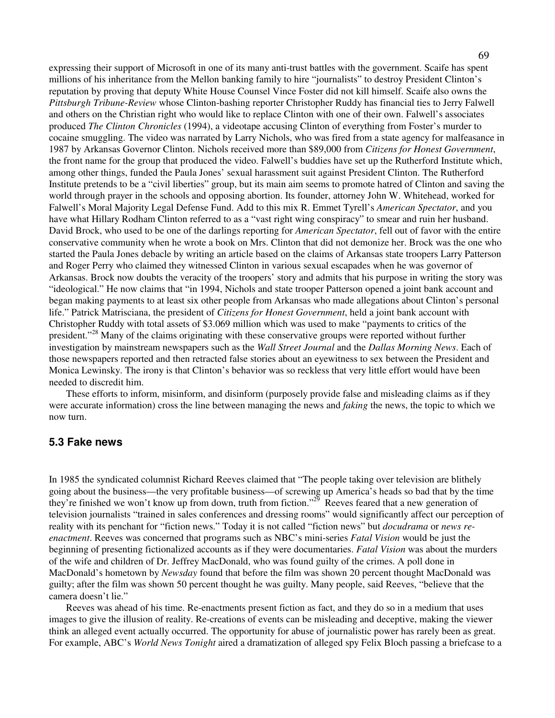expressing their support of Microsoft in one of its many anti-trust battles with the government. Scaife has spent millions of his inheritance from the Mellon banking family to hire "journalists" to destroy President Clinton's reputation by proving that deputy White House Counsel Vince Foster did not kill himself. Scaife also owns the *Pittsburgh Tribune-Review* whose Clinton-bashing reporter Christopher Ruddy has financial ties to Jerry Falwell and others on the Christian right who would like to replace Clinton with one of their own. Falwell's associates produced *The Clinton Chronicles* (1994), a videotape accusing Clinton of everything from Foster's murder to cocaine smuggling. The video was narrated by Larry Nichols, who was fired from a state agency for malfeasance in 1987 by Arkansas Governor Clinton. Nichols received more than \$89,000 from *Citizens for Honest Government*, the front name for the group that produced the video. Falwell's buddies have set up the Rutherford Institute which, among other things, funded the Paula Jones' sexual harassment suit against President Clinton. The Rutherford Institute pretends to be a "civil liberties" group, but its main aim seems to promote hatred of Clinton and saving the world through prayer in the schools and opposing abortion. Its founder, attorney John W. Whitehead, worked for Falwell's Moral Majority Legal Defense Fund. Add to this mix R. Emmet Tyrell's *American Spectator*, and you have what Hillary Rodham Clinton referred to as a "vast right wing conspiracy" to smear and ruin her husband. David Brock, who used to be one of the darlings reporting for *American Spectator*, fell out of favor with the entire conservative community when he wrote a book on Mrs. Clinton that did not demonize her. Brock was the one who started the Paula Jones debacle by writing an article based on the claims of Arkansas state troopers Larry Patterson and Roger Perry who claimed they witnessed Clinton in various sexual escapades when he was governor of Arkansas. Brock now doubts the veracity of the troopers' story and admits that his purpose in writing the story was "ideological." He now claims that "in 1994, Nichols and state trooper Patterson opened a joint bank account and began making payments to at least six other people from Arkansas who made allegations about Clinton's personal life." Patrick Matrisciana, the president of *Citizens for Honest Government*, held a joint bank account with Christopher Ruddy with total assets of \$3.069 million which was used to make "payments to critics of the president."<sup>28</sup> Many of the claims originating with these conservative groups were reported without further investigation by mainstream newspapers such as the *Wall Street Journal* and the *Dallas Morning News*. Each of those newspapers reported and then retracted false stories about an eyewitness to sex between the President and Monica Lewinsky. The irony is that Clinton's behavior was so reckless that very little effort would have been needed to discredit him.

These efforts to inform, misinform, and disinform (purposely provide false and misleading claims as if they were accurate information) cross the line between managing the news and *faking* the news, the topic to which we now turn.

#### **5.3 Fake news**

In 1985 the syndicated columnist Richard Reeves claimed that "The people taking over television are blithely going about the business—the very profitable business—of screwing up America's heads so bad that by the time they're finished we won't know up from down, truth from fiction."<sup>29</sup> Reeves feared that a new generation of television journalists "trained in sales conferences and dressing rooms" would significantly affect our perception of reality with its penchant for "fiction news." Today it is not called "fiction news" but *docudrama* or *news reenactment*. Reeves was concerned that programs such as NBC's mini-series *Fatal Vision* would be just the beginning of presenting fictionalized accounts as if they were documentaries. *Fatal Vision* was about the murders of the wife and children of Dr. Jeffrey MacDonald, who was found guilty of the crimes. A poll done in MacDonald's hometown by *Newsday* found that before the film was shown 20 percent thought MacDonald was guilty; after the film was shown 50 percent thought he was guilty. Many people, said Reeves, "believe that the camera doesn't lie."

Reeves was ahead of his time. Re-enactments present fiction as fact, and they do so in a medium that uses images to give the illusion of reality. Re-creations of events can be misleading and deceptive, making the viewer think an alleged event actually occurred. The opportunity for abuse of journalistic power has rarely been as great. For example, ABC's *World News Tonight* aired a dramatization of alleged spy Felix Bloch passing a briefcase to a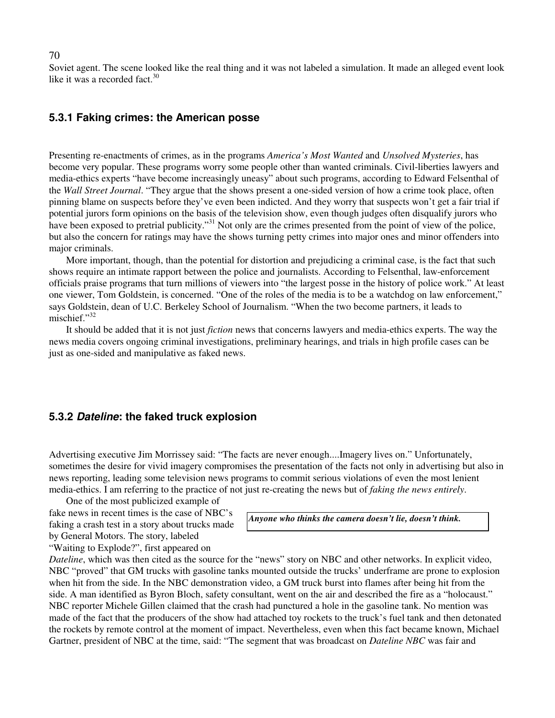Soviet agent. The scene looked like the real thing and it was not labeled a simulation. It made an alleged event look like it was a recorded fact.<sup>30</sup>

### **5.3.1 Faking crimes: the American posse**

Presenting re-enactments of crimes, as in the programs *America's Most Wanted* and *Unsolved Mysteries*, has become very popular. These programs worry some people other than wanted criminals. Civil-liberties lawyers and media-ethics experts "have become increasingly uneasy" about such programs, according to Edward Felsenthal of the *Wall Street Journal*. "They argue that the shows present a one-sided version of how a crime took place, often pinning blame on suspects before they've even been indicted. And they worry that suspects won't get a fair trial if potential jurors form opinions on the basis of the television show, even though judges often disqualify jurors who have been exposed to pretrial publicity."<sup>31</sup> Not only are the crimes presented from the point of view of the police, but also the concern for ratings may have the shows turning petty crimes into major ones and minor offenders into major criminals.

More important, though, than the potential for distortion and prejudicing a criminal case, is the fact that such shows require an intimate rapport between the police and journalists. According to Felsenthal, law-enforcement officials praise programs that turn millions of viewers into "the largest posse in the history of police work." At least one viewer, Tom Goldstein, is concerned. "One of the roles of the media is to be a watchdog on law enforcement," says Goldstein, dean of U.C. Berkeley School of Journalism. "When the two become partners, it leads to mischief."<sup>32</sup>

It should be added that it is not just *fiction* news that concerns lawyers and media-ethics experts. The way the news media covers ongoing criminal investigations, preliminary hearings, and trials in high profile cases can be just as one-sided and manipulative as faked news.

### **5.3.2** *Dateline***: the faked truck explosion**

Advertising executive Jim Morrissey said: "The facts are never enough....Imagery lives on." Unfortunately, sometimes the desire for vivid imagery compromises the presentation of the facts not only in advertising but also in news reporting, leading some television news programs to commit serious violations of even the most lenient media-ethics. I am referring to the practice of not just re-creating the news but of *faking the news entirely*.

One of the most publicized example of fake news in recent times is the case of NBC's faking a crash test in a story about trucks made by General Motors. The story, labeled "Waiting to Explode?", first appeared on

*Anyone who thinks the camera doesn't lie, doesn't think.*

*Dateline*, which was then cited as the source for the "news" story on NBC and other networks. In explicit video, NBC "proved" that GM trucks with gasoline tanks mounted outside the trucks' underframe are prone to explosion when hit from the side. In the NBC demonstration video, a GM truck burst into flames after being hit from the side. A man identified as Byron Bloch, safety consultant, went on the air and described the fire as a "holocaust." NBC reporter Michele Gillen claimed that the crash had punctured a hole in the gasoline tank. No mention was made of the fact that the producers of the show had attached toy rockets to the truck's fuel tank and then detonated the rockets by remote control at the moment of impact. Nevertheless, even when this fact became known, Michael Gartner, president of NBC at the time, said: "The segment that was broadcast on *Dateline NBC* was fair and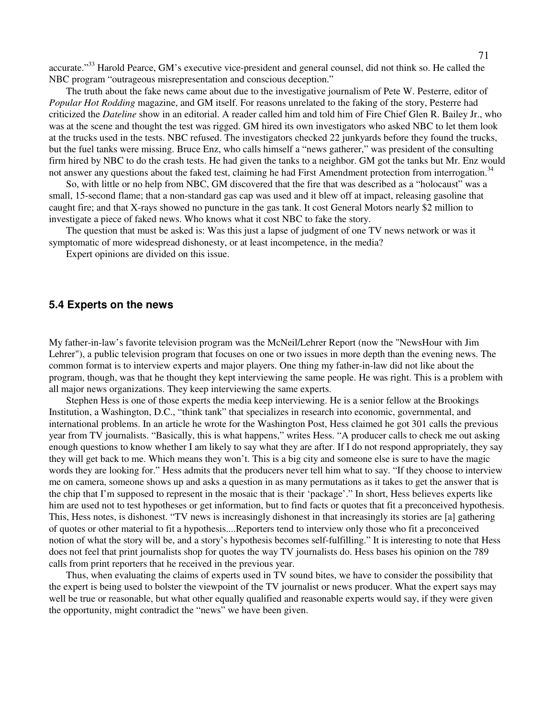accurate."<sup>33</sup> Harold Pearce, GM's executive vice-president and general counsel, did not think so. He called the NBC program "outrageous misrepresentation and conscious deception."

The truth about the fake news came about due to the investigative journalism of Pete W. Pesterre, editor of *Popular Hot Rodding* magazine, and GM itself. For reasons unrelated to the faking of the story, Pesterre had criticized the *Dateline* show in an editorial. A reader called him and told him of Fire Chief Glen R. Bailey Jr., who was at the scene and thought the test was rigged. GM hired its own investigators who asked NBC to let them look at the trucks used in the tests. NBC refused. The investigators checked 22 junkyards before they found the trucks, but the fuel tanks were missing. Bruce Enz, who calls himself a "news gatherer," was president of the consulting firm hired by NBC to do the crash tests. He had given the tanks to a neighbor. GM got the tanks but Mr. Enz would not answer any questions about the faked test, claiming he had First Amendment protection from interrogation.<sup>34</sup>

So, with little or no help from NBC, GM discovered that the fire that was described as a "holocaust" was a small, 15-second flame; that a non-standard gas cap was used and it blew off at impact, releasing gasoline that caught fire; and that X-rays showed no puncture in the gas tank. It cost General Motors nearly \$2 million to investigate a piece of faked news. Who knows what it cost NBC to fake the story.

The question that must be asked is: Was this just a lapse of judgment of one TV news network or was it symptomatic of more widespread dishonesty, or at least incompetence, in the media?

Expert opinions are divided on this issue.

#### **5.4 Experts on the news**

My father-in-law's favorite television program was the McNeil/Lehrer Report (now the "NewsHour with Jim Lehrer"), a public television program that focuses on one or two issues in more depth than the evening news. The common format is to interview experts and major players. One thing my father-in-law did not like about the program, though, was that he thought they kept interviewing the same people. He was right. This is a problem with all major news organizations. They keep interviewing the same experts.

Stephen Hess is one of those experts the media keep interviewing. He is a senior fellow at the Brookings Institution, a Washington, D.C., "think tank" that specializes in research into economic, governmental, and international problems. In an article he wrote for the Washington Post, Hess claimed he got 301 calls the previous year from TV journalists. "Basically, this is what happens," writes Hess. "A producer calls to check me out asking enough questions to know whether I am likely to say what they are after. If I do not respond appropriately, they say they will get back to me. Which means they won't. This is a big city and someone else is sure to have the magic words they are looking for." Hess admits that the producers never tell him what to say. "If they choose to interview me on camera, someone shows up and asks a question in as many permutations as it takes to get the answer that is the chip that I'm supposed to represent in the mosaic that is their 'package'." In short, Hess believes experts like him are used not to test hypotheses or get information, but to find facts or quotes that fit a preconceived hypothesis. This, Hess notes, is dishonest. "TV news is increasingly dishonest in that increasingly its stories are [a] gathering of quotes or other material to fit a hypothesis....Reporters tend to interview only those who fit a preconceived notion of what the story will be, and a story's hypothesis becomes self-fulfilling." It is interesting to note that Hess does not feel that print journalists shop for quotes the way TV journalists do. Hess bases his opinion on the 789 calls from print reporters that he received in the previous year.

Thus, when evaluating the claims of experts used in TV sound bites, we have to consider the possibility that the expert is being used to bolster the viewpoint of the TV journalist or news producer. What the expert says may well be true or reasonable, but what other equally qualified and reasonable experts would say, if they were given the opportunity, might contradict the "news" we have been given.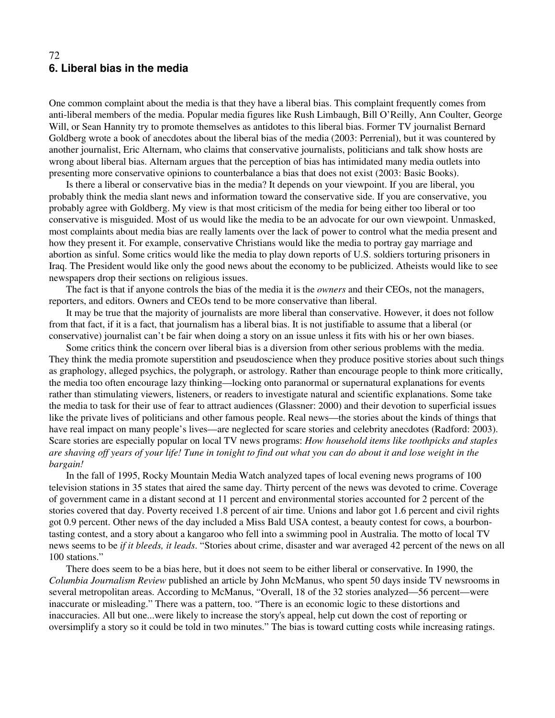### 72 **6. Liberal bias in the media**

One common complaint about the media is that they have a liberal bias. This complaint frequently comes from anti-liberal members of the media. Popular media figures like Rush Limbaugh, Bill O'Reilly, Ann Coulter, George Will, or Sean Hannity try to promote themselves as antidotes to this liberal bias. Former TV journalist Bernard Goldberg wrote a book of anecdotes about the liberal bias of the media (2003: Perrenial), but it was countered by another journalist, Eric Alternam, who claims that conservative journalists, politicians and talk show hosts are wrong about liberal bias. Alternam argues that the perception of bias has intimidated many media outlets into presenting more conservative opinions to counterbalance a bias that does not exist (2003: Basic Books).

Is there a liberal or conservative bias in the media? It depends on your viewpoint. If you are liberal, you probably think the media slant news and information toward the conservative side. If you are conservative, you probably agree with Goldberg. My view is that most criticism of the media for being either too liberal or too conservative is misguided. Most of us would like the media to be an advocate for our own viewpoint. Unmasked, most complaints about media bias are really laments over the lack of power to control what the media present and how they present it. For example, conservative Christians would like the media to portray gay marriage and abortion as sinful. Some critics would like the media to play down reports of U.S. soldiers torturing prisoners in Iraq. The President would like only the good news about the economy to be publicized. Atheists would like to see newspapers drop their sections on religious issues.

The fact is that if anyone controls the bias of the media it is the *owners* and their CEOs, not the managers, reporters, and editors. Owners and CEOs tend to be more conservative than liberal.

It may be true that the majority of journalists are more liberal than conservative. However, it does not follow from that fact, if it is a fact, that journalism has a liberal bias. It is not justifiable to assume that a liberal (or conservative) journalist can't be fair when doing a story on an issue unless it fits with his or her own biases.

Some critics think the concern over liberal bias is a diversion from other serious problems with the media. They think the media promote superstition and pseudoscience when they produce positive stories about such things as graphology, alleged psychics, the polygraph, or astrology. Rather than encourage people to think more critically, the media too often encourage lazy thinking—locking onto paranormal or supernatural explanations for events rather than stimulating viewers, listeners, or readers to investigate natural and scientific explanations. Some take the media to task for their use of fear to attract audiences (Glassner: 2000) and their devotion to superficial issues like the private lives of politicians and other famous people. Real news—the stories about the kinds of things that have real impact on many people's lives—are neglected for scare stories and celebrity anecdotes (Radford: 2003). Scare stories are especially popular on local TV news programs: *How household items like toothpicks and staples* are shaving off years of your life! Tune in tonight to find out what you can do about it and lose weight in the *bargain!*

In the fall of 1995, Rocky Mountain Media Watch analyzed tapes of local evening news programs of 100 television stations in 35 states that aired the same day. Thirty percent of the news was devoted to crime. Coverage of government came in a distant second at 11 percent and environmental stories accounted for 2 percent of the stories covered that day. Poverty received 1.8 percent of air time. Unions and labor got 1.6 percent and civil rights got 0.9 percent. Other news of the day included a Miss Bald USA contest, a beauty contest for cows, a bourbontasting contest, and a story about a kangaroo who fell into a swimming pool in Australia. The motto of local TV news seems to be *if it bleeds, it leads*. "Stories about crime, disaster and war averaged 42 percent of the news on all 100 stations."

There does seem to be a bias here, but it does not seem to be either liberal or conservative. In 1990, the *Columbia Journalism Review* published an article by John McManus, who spent 50 days inside TV newsrooms in several metropolitan areas. According to McManus, "Overall, 18 of the 32 stories analyzed—56 percent—were inaccurate or misleading." There was a pattern, too. "There is an economic logic to these distortions and inaccuracies. All but one...were likely to increase the story's appeal, help cut down the cost of reporting or oversimplify a story so it could be told in two minutes." The bias is toward cutting costs while increasing ratings.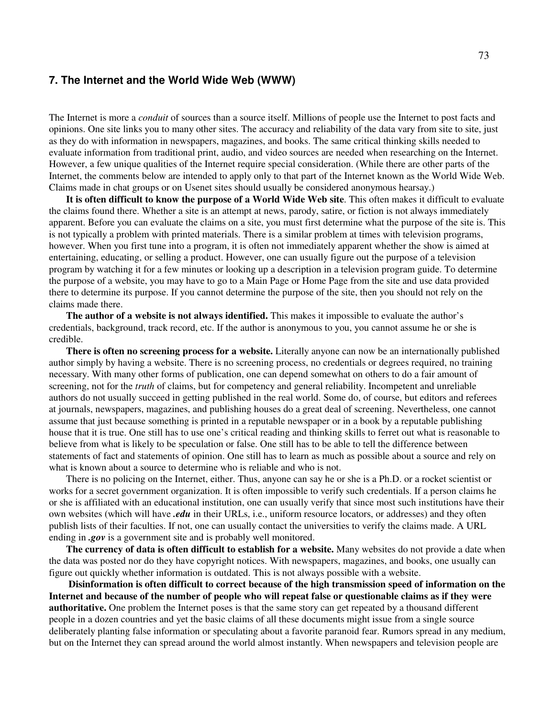### **7. The Internet and the World Wide Web (WWW)**

The Internet is more a *conduit* of sources than a source itself. Millions of people use the Internet to post facts and opinions. One site links you to many other sites. The accuracy and reliability of the data vary from site to site, just as they do with information in newspapers, magazines, and books. The same critical thinking skills needed to evaluate information from traditional print, audio, and video sources are needed when researching on the Internet. However, a few unique qualities of the Internet require special consideration. (While there are other parts of the Internet, the comments below are intended to apply only to that part of the Internet known as the World Wide Web. Claims made in chat groups or on Usenet sites should usually be considered anonymous hearsay.)

**It is often difficult to know the purpose of a World Wide Web site**. This often makes it difficult to evaluate the claims found there. Whether a site is an attempt at news, parody, satire, or fiction is not always immediately apparent. Before you can evaluate the claims on a site, you must first determine what the purpose of the site is. This is not typically a problem with printed materials. There is a similar problem at times with television programs, however. When you first tune into a program, it is often not immediately apparent whether the show is aimed at entertaining, educating, or selling a product. However, one can usually figure out the purpose of a television program by watching it for a few minutes or looking up a description in a television program guide. To determine the purpose of a website, you may have to go to a Main Page or Home Page from the site and use data provided there to determine its purpose. If you cannot determine the purpose of the site, then you should not rely on the claims made there.

**The author of a website is not always identified.** This makes it impossible to evaluate the author's credentials, background, track record, etc. If the author is anonymous to you, you cannot assume he or she is credible.

**There is often no screening process for a website.** Literally anyone can now be an internationally published author simply by having a website. There is no screening process, no credentials or degrees required, no training necessary. With many other forms of publication, one can depend somewhat on others to do a fair amount of screening, not for the *truth* of claims, but for competency and general reliability. Incompetent and unreliable authors do not usually succeed in getting published in the real world. Some do, of course, but editors and referees at journals, newspapers, magazines, and publishing houses do a great deal of screening. Nevertheless, one cannot assume that just because something is printed in a reputable newspaper or in a book by a reputable publishing house that it is true. One still has to use one's critical reading and thinking skills to ferret out what is reasonable to believe from what is likely to be speculation or false. One still has to be able to tell the difference between statements of fact and statements of opinion. One still has to learn as much as possible about a source and rely on what is known about a source to determine who is reliable and who is not.

There is no policing on the Internet, either. Thus, anyone can say he or she is a Ph.D. or a rocket scientist or works for a secret government organization. It is often impossible to verify such credentials. If a person claims he or she is affiliated with an educational institution, one can usually verify that since most such institutions have their own websites (which will have *.edu* in their URLs, i.e., uniform resource locators, or addresses) and they often publish lists of their faculties. If not, one can usually contact the universities to verify the claims made. A URL ending in *.gov* is a government site and is probably well monitored.

**The currency of data is often difficult to establish for a website.** Many websites do not provide a date when the data was posted nor do they have copyright notices. With newspapers, magazines, and books, one usually can figure out quickly whether information is outdated. This is not always possible with a website.

**Disinformation is often difficult to correct because of the high transmission speed of information on the** Internet and because of the number of people who will repeat false or questionable claims as if they were **authoritative.** One problem the Internet poses is that the same story can get repeated by a thousand different people in a dozen countries and yet the basic claims of all these documents might issue from a single source deliberately planting false information or speculating about a favorite paranoid fear. Rumors spread in any medium, but on the Internet they can spread around the world almost instantly. When newspapers and television people are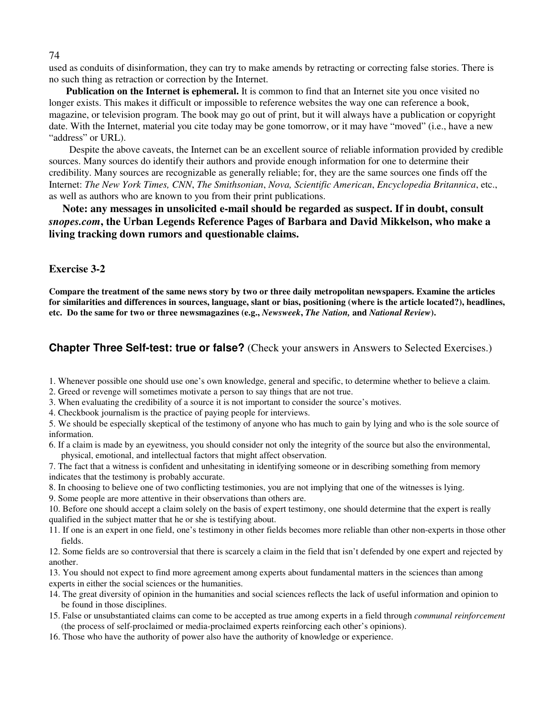used as conduits of disinformation, they can try to make amends by retracting or correcting false stories. There is no such thing as retraction or correction by the Internet.

**Publication on the Internet is ephemeral.** It is common to find that an Internet site you once visited no longer exists. This makes it difficult or impossible to reference websites the way one can reference a book, magazine, or television program. The book may go out of print, but it will always have a publication or copyright date. With the Internet, material you cite today may be gone tomorrow, or it may have "moved" (i.e., have a new "address" or URL).

Despite the above caveats, the Internet can be an excellent source of reliable information provided by credible sources. Many sources do identify their authors and provide enough information for one to determine their credibility. Many sources are recognizable as generally reliable; for, they are the same sources one finds off the Internet: *The New York Times, CNN*, *The Smithsonian*, *Nova, Scientific American*, *Encyclopedia Britannica*, etc., as well as authors who are known to you from their print publications.

**Note: any messages in unsolicited e-mail should be regarded as suspect. If in doubt, consult** *snopes.com***, the Urban Legends Reference Pages of Barbara and David Mikkelson, who make a living tracking down rumors and questionable claims.**

### **Exercise 3-2**

Compare the treatment of the same news story by two or three daily metropolitan newspapers. Examine the articles for similarities and differences in sources, language, slant or bias, positioning (where is the article located?), headlines, **etc. Do the same for two or three newsmagazines (e.g.,** *Newsweek***,** *The Nation,* **and** *National Review***).**

#### **Chapter Three Self-test: true or false?** (Check your answers in Answers to Selected Exercises.)

1. Whenever possible one should use one's own knowledge, general and specific, to determine whether to believe a claim.

2. Greed or revenge will sometimes motivate a person to say things that are not true.

3. When evaluating the credibility of a source it is not important to consider the source's motives.

4. Checkbook journalism is the practice of paying people for interviews.

5. We should be especially skeptical of the testimony of anyone who has much to gain by lying and who is the sole source of information.

6. If a claim is made by an eyewitness, you should consider not only the integrity of the source but also the environmental, physical, emotional, and intellectual factors that might affect observation.

7. The fact that a witness is confident and unhesitating in identifying someone or in describing something from memory indicates that the testimony is probably accurate.

8. In choosing to believe one of two conflicting testimonies, you are not implying that one of the witnesses is lying.

9. Some people are more attentive in their observations than others are.

10. Before one should accept a claim solely on the basis of expert testimony, one should determine that the expert is really qualified in the subject matter that he or she is testifying about.

11. If one is an expert in one field, one's testimony in other fields becomes more reliable than other non-experts in those other fields.

12. Some fields are so controversial that there is scarcely a claim in the field that isn't defended by one expert and rejected by another.

13. You should not expect to find more agreement among experts about fundamental matters in the sciences than among experts in either the social sciences or the humanities.

- 14. The great diversity of opinion in the humanities and social sciences reflects the lack of useful information and opinion to be found in those disciplines.
- 15. False or unsubstantiated claims can come to be accepted as true among experts in a field through *communal reinforcement* (the process of self-proclaimed or media-proclaimed experts reinforcing each other's opinions).
- 16. Those who have the authority of power also have the authority of knowledge or experience.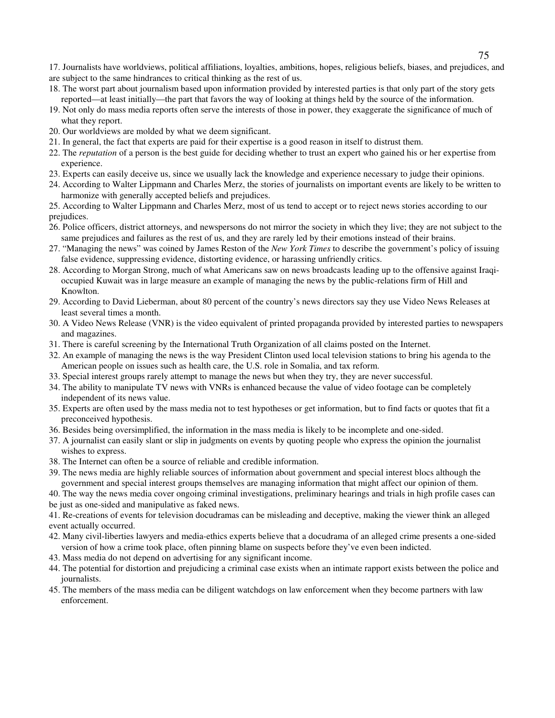17. Journalists have worldviews, political affiliations, loyalties, ambitions, hopes, religious beliefs, biases, and prejudices, and are subject to the same hindrances to critical thinking as the rest of us.

- 18. The worst part about journalism based upon information provided by interested parties is that only part of the story gets reported—at least initially—the part that favors the way of looking at things held by the source of the information.
- 19. Not only do mass media reports often serve the interests of those in power, they exaggerate the significance of much of what they report.
- 20. Our worldviews are molded by what we deem significant.
- 21. In general, the fact that experts are paid for their expertise is a good reason in itself to distrust them.
- 22. The *reputation* of a person is the best guide for deciding whether to trust an expert who gained his or her expertise from experience.
- 23. Experts can easily deceive us, since we usually lack the knowledge and experience necessary to judge their opinions.
- 24. According to Walter Lippmann and Charles Merz, the stories of journalists on important events are likely to be written to harmonize with generally accepted beliefs and prejudices.

25. According to Walter Lippmann and Charles Merz, most of us tend to accept or to reject news stories according to our prejudices.

- 26. Police officers, district attorneys, and newspersons do not mirror the society in which they live; they are not subject to the same prejudices and failures as the rest of us, and they are rarely led by their emotions instead of their brains.
- 27. "Managing the news" was coined by James Reston of the *New York Times* to describe the government's policy of issuing false evidence, suppressing evidence, distorting evidence, or harassing unfriendly critics.
- 28. According to Morgan Strong, much of what Americans saw on news broadcasts leading up to the offensive against Iraqioccupied Kuwait was in large measure an example of managing the news by the public-relations firm of Hill and Knowlton.
- 29. According to David Lieberman, about 80 percent of the country's news directors say they use Video News Releases at least several times a month.
- 30. A Video News Release (VNR) is the video equivalent of printed propaganda provided by interested parties to newspapers and magazines.
- 31. There is careful screening by the International Truth Organization of all claims posted on the Internet.
- 32. An example of managing the news is the way President Clinton used local television stations to bring his agenda to the American people on issues such as health care, the U.S. role in Somalia, and tax reform.
- 33. Special interest groups rarely attempt to manage the news but when they try, they are never successful.
- 34. The ability to manipulate TV news with VNRs is enhanced because the value of video footage can be completely independent of its news value.
- 35. Experts are often used by the mass media not to test hypotheses or get information, but to find facts or quotes that fit a preconceived hypothesis.
- 36. Besides being oversimplified, the information in the mass media is likely to be incomplete and one-sided.
- 37. A journalist can easily slant or slip in judgments on events by quoting people who express the opinion the journalist wishes to express.
- 38. The Internet can often be a source of reliable and credible information.
- 39. The news media are highly reliable sources of information about government and special interest blocs although the government and special interest groups themselves are managing information that might affect our opinion of them.
- 40. The way the news media cover ongoing criminal investigations, preliminary hearings and trials in high profile cases can be just as one-sided and manipulative as faked news.
- 41. Re-creations of events for television docudramas can be misleading and deceptive, making the viewer think an alleged event actually occurred.
- 42. Many civil-liberties lawyers and media-ethics experts believe that a docudrama of an alleged crime presents a one-sided version of how a crime took place, often pinning blame on suspects before they've even been indicted.
- 43. Mass media do not depend on advertising for any significant income.
- 44. The potential for distortion and prejudicing a criminal case exists when an intimate rapport exists between the police and journalists.
- 45. The members of the mass media can be diligent watchdogs on law enforcement when they become partners with law enforcement.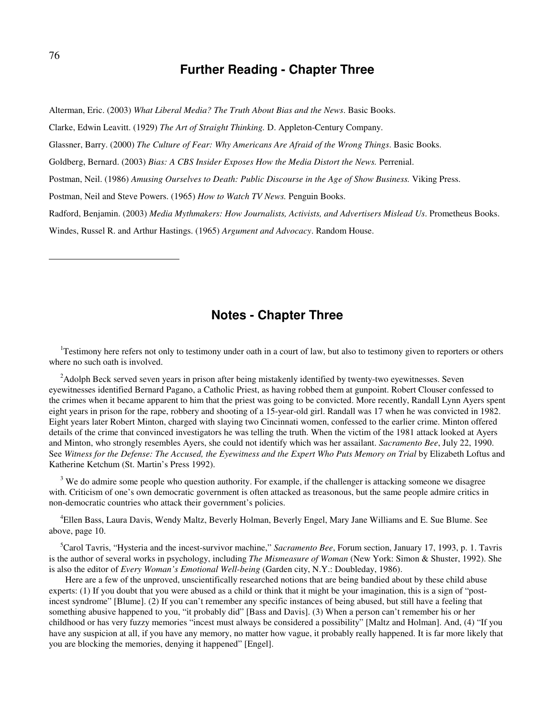# **Further Reading - Chapter Three**

Alterman, Eric. (2003) *What Liberal Media? The Truth About Bias and the News*. Basic Books.

Clarke, Edwin Leavitt. (1929) *The Art of Straight Thinking.* D. Appleton-Century Company.

Glassner, Barry. (2000) *The Culture of Fear: Why Americans Are Afraid of the Wrong Things*. Basic Books.

Goldberg, Bernard. (2003) *Bias: A CBS Insider Exposes How the Media Distort the News.* Perrenial.

Postman, Neil. (1986) *Amusing Ourselves to Death: Public Discourse in the Age of Show Business.* Viking Press.

Postman, Neil and Steve Powers. (1965) *How to Watch TV News.* Penguin Books.

Radford, Benjamin. (2003) *Media Mythmakers: How Journalists, Activists, and Advertisers Mislead Us*. Prometheus Books.

Windes, Russel R. and Arthur Hastings. (1965) *Argument and Advocacy*. Random House.

# **Notes - Chapter Three**

<sup>1</sup>Testimony here refers not only to testimony under oath in a court of law, but also to testimony given to reporters or others where no such oath is involved.

<sup>2</sup>Adolph Beck served seven years in prison after being mistakenly identified by twenty-two eyewitnesses. Seven eyewitnesses identified Bernard Pagano, a Catholic Priest, as having robbed them at gunpoint. Robert Clouser confessed to the crimes when it became apparent to him that the priest was going to be convicted. More recently, Randall Lynn Ayers spent eight years in prison for the rape, robbery and shooting of a 15-year-old girl. Randall was 17 when he was convicted in 1982. Eight years later Robert Minton, charged with slaying two Cincinnati women, confessed to the earlier crime. Minton offered details of the crime that convinced investigators he was telling the truth. When the victim of the 1981 attack looked at Ayers and Minton, who strongly resembles Ayers, she could not identify which was her assailant. *Sacramento Bee*, July 22, 1990. See Witness for the Defense: The Accused, the Eyewitness and the Expert Who Puts Memory on Trial by Elizabeth Loftus and Katherine Ketchum (St. Martin's Press 1992).

<sup>3</sup> We do admire some people who question authority. For example, if the challenger is attacking someone we disagree with. Criticism of one's own democratic government is often attacked as treasonous, but the same people admire critics in non-democratic countries who attack their government's policies.

<sup>4</sup>Ellen Bass, Laura Davis, Wendy Maltz, Beverly Holman, Beverly Engel, Mary Jane Williams and E. Sue Blume. See above, page 10.

<sup>5</sup>Carol Tavris, "Hysteria and the incest-survivor machine," *Sacramento Bee*, Forum section, January 17, 1993, p. 1. Tavris is the author of several works in psychology, including *The Mismeasure of Woman* (New York: Simon & Shuster, 1992). She is also the editor of *Every Woman's Emotional Well-being* (Garden city, N.Y.: Doubleday, 1986).

Here are a few of the unproved, unscientifically researched notions that are being bandied about by these child abuse experts: (1) If you doubt that you were abused as a child or think that it might be your imagination, this is a sign of "postincest syndrome" [Blume]. (2) If you can't remember any specific instances of being abused, but still have a feeling that something abusive happened to you, "it probably did" [Bass and Davis]. (3) When a person can't remember his or her childhood or has very fuzzy memories "incest must always be considered a possibility" [Maltz and Holman]. And, (4) "If you have any suspicion at all, if you have any memory, no matter how vague, it probably really happened. It is far more likely that you are blocking the memories, denying it happened" [Engel].

 $\overline{\phantom{0}}$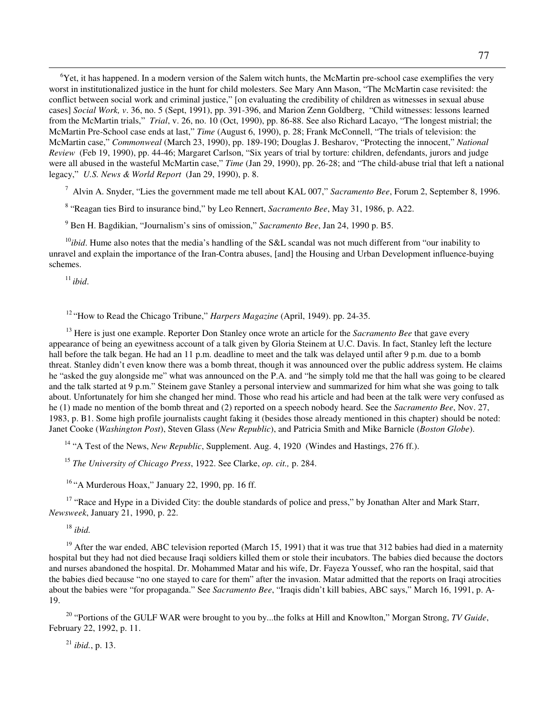$6$ Yet, it has happened. In a modern version of the Salem witch hunts, the McMartin pre-school case exemplifies the very worst in institutionalized justice in the hunt for child molesters. See Mary Ann Mason, "The McMartin case revisited: the conflict between social work and criminal justice," [on evaluating the credibility of children as witnesses in sexual abuse cases] *Social Work, v*. 36, no. 5 (Sept, 1991), pp. 391-396, and Marion Zenn Goldberg, "Child witnesses: lessons learned from the McMartin trials," *Trial*, v. 26, no. 10 (Oct, 1990), pp. 86-88. See also Richard Lacayo, "The longest mistrial; the McMartin Pre-School case ends at last," *Time* (August 6, 1990), p. 28; Frank McConnell, "The trials of television: the McMartin case," *Commonweal* (March 23, 1990), pp. 189-190; Douglas J. Besharov, "Protecting the innocent," *National Review* (Feb 19, 1990), pp. 44-46; Margaret Carlson, "Six years of trial by torture: children, defendants, jurors and judge were all abused in the wasteful McMartin case," *Time* (Jan 29, 1990), pp. 26-28; and "The child-abuse trial that left a national legacy," *U.S. News & World Report* (Jan 29, 1990), p. 8.

<sup>7</sup> Alvin A. Snyder, "Lies the government made me tell about KAL 007," *Sacramento Bee*, Forum 2, September 8, 1996.

8 "Reagan ties Bird to insurance bind," by Leo Rennert, *Sacramento Bee*, May 31, 1986, p. A22.

<sup>9</sup> Ben H. Bagdikian, "Journalism's sins of omission," *Sacramento Bee*, Jan 24, 1990 p. B5.

<sup>10</sup>*ibid*. Hume also notes that the media's handling of the S&L scandal was not much different from "our inability to unravel and explain the importance of the Iran-Contra abuses, [and] the Housing and Urban Development influence-buying schemes.

11 *ibid*.

<sup>12</sup> "How to Read the Chicago Tribune," *Harpers Magazine* (April, 1949). pp. 24-35.

<sup>13</sup> Here is just one example. Reporter Don Stanley once wrote an article for the *Sacramento Bee* that gave every appearance of being an eyewitness account of a talk given by Gloria Steinem at U.C. Davis. In fact, Stanley left the lecture hall before the talk began. He had an 11 p.m. deadline to meet and the talk was delayed until after 9 p.m. due to a bomb threat. Stanley didn't even know there was a bomb threat, though it was announced over the public address system. He claims he "asked the guy alongside me" what was announced on the P.A. and "he simply told me that the hall was going to be cleared and the talk started at 9 p.m." Steinem gave Stanley a personal interview and summarized for him what she was going to talk about. Unfortunately for him she changed her mind. Those who read his article and had been at the talk were very confused as he (1) made no mention of the bomb threat and (2) reported on a speech nobody heard. See the *Sacramento Bee*, Nov. 27, 1983, p. B1. Some high profile journalists caught faking it (besides those already mentioned in this chapter) should be noted: Janet Cooke (*Washington Post*), Steven Glass (*New Republic*), and Patricia Smith and Mike Barnicle (*Boston Globe*).

<sup>14</sup> "A Test of the News, *New Republic*, Supplement. Aug. 4, 1920 (Windes and Hastings, 276 ff.).

15 *The University of Chicago Press*, 1922. See Clarke, *op. cit.,* p. 284.

<sup>16</sup> "A Murderous Hoax," January 22, 1990, pp. 16 ff.

<sup>17</sup> "Race and Hype in a Divided City: the double standards of police and press," by Jonathan Alter and Mark Starr, *Newsweek*, January 21, 1990, p. 22.

18 *ibid.*

 $19$  After the war ended, ABC television reported (March 15, 1991) that it was true that 312 babies had died in a maternity hospital but they had not died because Iraqi soldiers killed them or stole their incubators. The babies died because the doctors and nurses abandoned the hospital. Dr. Mohammed Matar and his wife, Dr. Fayeza Youssef, who ran the hospital, said that the babies died because "no one stayed to care for them" after the invasion. Matar admitted that the reports on Iraqi atrocities about the babies were "for propaganda." See *Sacramento Bee*, "Iraqis didn't kill babies, ABC says," March 16, 1991, p. A-19.

20 "Portions of the GULF WAR were brought to you by...the folks at Hill and Knowlton," Morgan Strong, *TV Guide*, February 22, 1992, p. 11.

21 *ibid.*, p. 13.